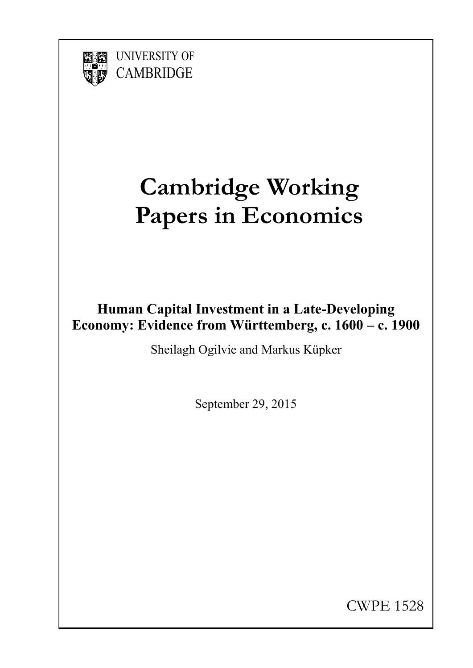

UNIVERSITY OF **CAMBRIDGE** 

# **Cambridge Working Papers in Economics**

### **Human Capital Investment in a Late-Developing Economy: Evidence from Württemberg, c. 1600 – c. 1900**

Sheilagh Ogilvie and Markus Küpker

September 29, 2015

CWPE 1528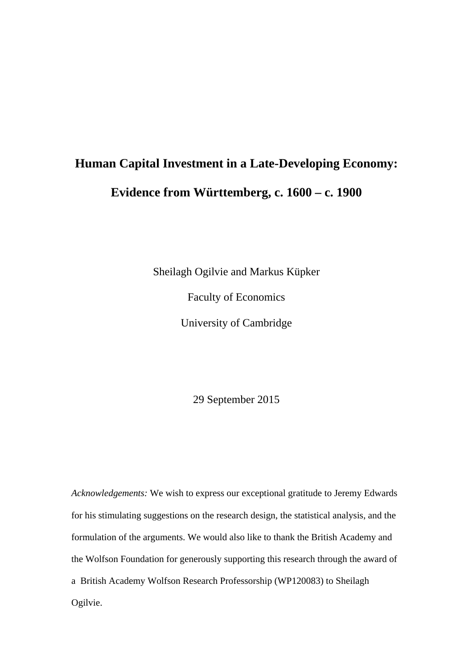## **Human Capital Investment in a Late-Developing Economy: Evidence from Württemberg, c. 1600 – c. 1900**

Sheilagh Ogilvie and Markus Küpker

Faculty of Economics

University of Cambridge

29 September 2015

*Acknowledgements:* We wish to express our exceptional gratitude to Jeremy Edwards for his stimulating suggestions on the research design, the statistical analysis, and the formulation of the arguments. We would also like to thank the British Academy and the Wolfson Foundation for generously supporting this research through the award of a British Academy Wolfson Research Professorship (WP120083) to Sheilagh Ogilvie.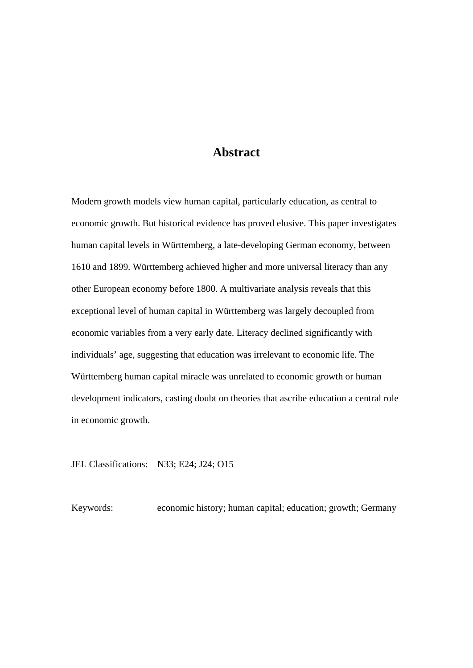#### **Abstract**

Modern growth models view human capital, particularly education, as central to economic growth. But historical evidence has proved elusive. This paper investigates human capital levels in Württemberg, a late-developing German economy, between 1610 and 1899. Württemberg achieved higher and more universal literacy than any other European economy before 1800. A multivariate analysis reveals that this exceptional level of human capital in Württemberg was largely decoupled from economic variables from a very early date. Literacy declined significantly with individuals' age, suggesting that education was irrelevant to economic life. The Württemberg human capital miracle was unrelated to economic growth or human development indicators, casting doubt on theories that ascribe education a central role in economic growth.

JEL Classifications: N33; E24; J24; O15

Keywords: economic history; human capital; education; growth; Germany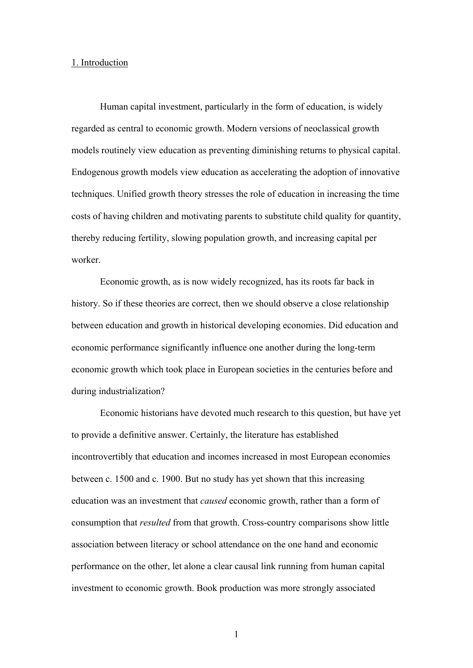#### 1. Introduction

Human capital investment, particularly in the form of education, is widely regarded as central to economic growth. Modern versions of neoclassical growth models routinely view education as preventing diminishing returns to physical capital. Endogenous growth models view education as accelerating the adoption of innovative techniques. Unified growth theory stresses the role of education in increasing the time costs of having children and motivating parents to substitute child quality for quantity, thereby reducing fertility, slowing population growth, and increasing capital per worker.

Economic growth, as is now widely recognized, has its roots far back in history. So if these theories are correct, then we should observe a close relationship between education and growth in historical developing economies. Did education and economic performance significantly influence one another during the long-term economic growth which took place in European societies in the centuries before and during industrialization?

Economic historians have devoted much research to this question, but have yet to provide a definitive answer. Certainly, the literature has established incontrovertibly that education and incomes increased in most European economies between c. 1500 and c. 1900. But no study has yet shown that this increasing education was an investment that *caused* economic growth, rather than a form of consumption that *resulted* from that growth. Cross-country comparisons show little association between literacy or school attendance on the one hand and economic performance on the other, let alone a clear causal link running from human capital investment to economic growth. Book production was more strongly associated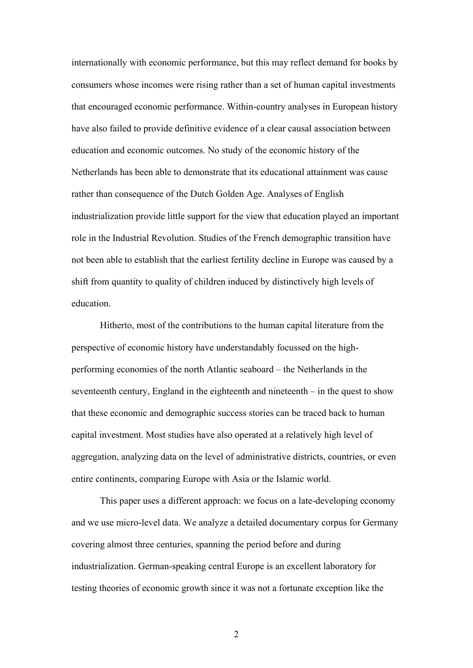internationally with economic performance, but this may reflect demand for books by consumers whose incomes were rising rather than a set of human capital investments that encouraged economic performance. Within-country analyses in European history have also failed to provide definitive evidence of a clear causal association between education and economic outcomes. No study of the economic history of the Netherlands has been able to demonstrate that its educational attainment was cause rather than consequence of the Dutch Golden Age. Analyses of English industrialization provide little support for the view that education played an important role in the Industrial Revolution. Studies of the French demographic transition have not been able to establish that the earliest fertility decline in Europe was caused by a shift from quantity to quality of children induced by distinctively high levels of education.

Hitherto, most of the contributions to the human capital literature from the perspective of economic history have understandably focussed on the highperforming economies of the north Atlantic seaboard – the Netherlands in the seventeenth century, England in the eighteenth and nineteenth – in the quest to show that these economic and demographic success stories can be traced back to human capital investment. Most studies have also operated at a relatively high level of aggregation, analyzing data on the level of administrative districts, countries, or even entire continents, comparing Europe with Asia or the Islamic world.

This paper uses a different approach: we focus on a late-developing economy and we use micro-level data. We analyze a detailed documentary corpus for Germany covering almost three centuries, spanning the period before and during industrialization. German-speaking central Europe is an excellent laboratory for testing theories of economic growth since it was not a fortunate exception like the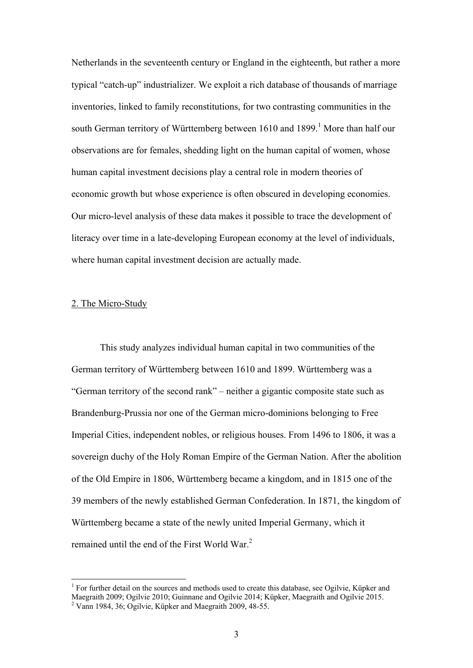Netherlands in the seventeenth century or England in the eighteenth, but rather a more typical "catch-up" industrializer. We exploit a rich database of thousands of marriage inventories, linked to family reconstitutions, for two contrasting communities in the south German territory of Württemberg between  $1610$  and  $1899$ .<sup>1</sup> More than half our observations are for females, shedding light on the human capital of women, whose human capital investment decisions play a central role in modern theories of economic growth but whose experience is often obscured in developing economies. Our micro-level analysis of these data makes it possible to trace the development of literacy over time in a late-developing European economy at the level of individuals, where human capital investment decision are actually made.

#### 2. The Micro-Study

1

This study analyzes individual human capital in two communities of the German territory of Württemberg between 1610 and 1899. Württemberg was a "German territory of the second rank" – neither a gigantic composite state such as Brandenburg-Prussia nor one of the German micro-dominions belonging to Free Imperial Cities, independent nobles, or religious houses. From 1496 to 1806, it was a sovereign duchy of the Holy Roman Empire of the German Nation. After the abolition of the Old Empire in 1806, Württemberg became a kingdom, and in 1815 one of the 39 members of the newly established German Confederation. In 1871, the kingdom of Württemberg became a state of the newly united Imperial Germany, which it remained until the end of the First World War.<sup>2</sup>

<sup>&</sup>lt;sup>1</sup> For further detail on the sources and methods used to create this database, see Ogilvie, Küpker and Maegraith 2009; Ogilvie 2010; Guinnane and Ogilvie 2014; Küpker, Maegraith and Ogilvie 2015.

<sup>&</sup>lt;sup>2</sup> Vann 1984, 36; Ogilvie, Küpker and Maegraith 2009, 48-55.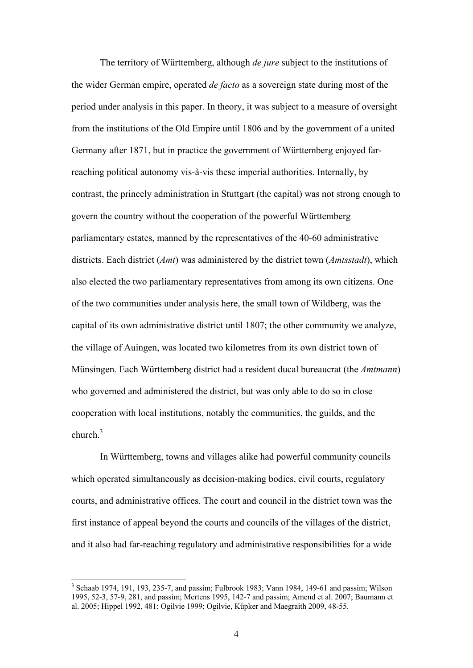The territory of Württemberg, although *de jure* subject to the institutions of the wider German empire, operated *de facto* as a sovereign state during most of the period under analysis in this paper. In theory, it was subject to a measure of oversight from the institutions of the Old Empire until 1806 and by the government of a united Germany after 1871, but in practice the government of Württemberg enjoyed farreaching political autonomy vis-à-vis these imperial authorities. Internally, by contrast, the princely administration in Stuttgart (the capital) was not strong enough to govern the country without the cooperation of the powerful Württemberg parliamentary estates, manned by the representatives of the 40-60 administrative districts. Each district (*Amt*) was administered by the district town (*Amtsstadt*), which also elected the two parliamentary representatives from among its own citizens. One of the two communities under analysis here, the small town of Wildberg, was the capital of its own administrative district until 1807; the other community we analyze, the village of Auingen, was located two kilometres from its own district town of Münsingen. Each Württemberg district had a resident ducal bureaucrat (the *Amtmann*) who governed and administered the district, but was only able to do so in close cooperation with local institutions, notably the communities, the guilds, and the  $church<sup>3</sup>$ 

In Württemberg, towns and villages alike had powerful community councils which operated simultaneously as decision-making bodies, civil courts, regulatory courts, and administrative offices. The court and council in the district town was the first instance of appeal beyond the courts and councils of the villages of the district, and it also had far-reaching regulatory and administrative responsibilities for a wide

<sup>&</sup>lt;sup>3</sup> Schaab 1974, 191, 193, 235-7, and passim; Fulbrook 1983; Vann 1984, 149-61 and passim; Wilson 1995, 52-3, 57-9, 281, and passim; Mertens 1995, 142-7 and passim; Amend et al. 2007; Baumann et al. 2005; Hippel 1992, 481; Ogilvie 1999; Ogilvie, Küpker and Maegraith 2009, 48-55.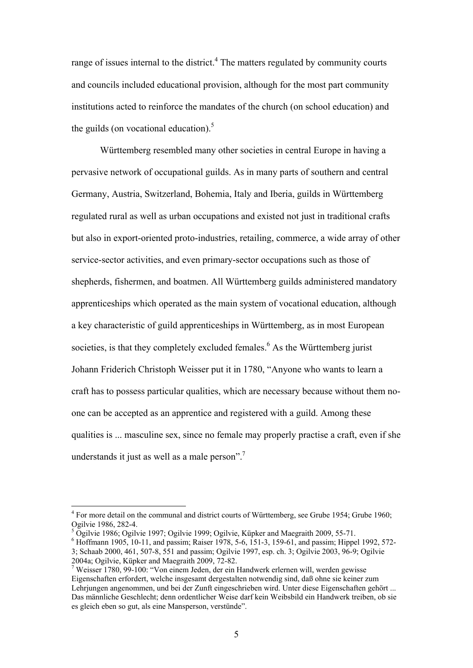range of issues internal to the district. $4$  The matters regulated by community courts and councils included educational provision, although for the most part community institutions acted to reinforce the mandates of the church (on school education) and the guilds (on vocational education). $<sup>5</sup>$ </sup>

Württemberg resembled many other societies in central Europe in having a pervasive network of occupational guilds. As in many parts of southern and central Germany, Austria, Switzerland, Bohemia, Italy and Iberia, guilds in Württemberg regulated rural as well as urban occupations and existed not just in traditional crafts but also in export-oriented proto-industries, retailing, commerce, a wide array of other service-sector activities, and even primary-sector occupations such as those of shepherds, fishermen, and boatmen. All Württemberg guilds administered mandatory apprenticeships which operated as the main system of vocational education, although a key characteristic of guild apprenticeships in Württemberg, as in most European societies, is that they completely excluded females.<sup>6</sup> As the Württemberg jurist Johann Friderich Christoph Weisser put it in 1780, "Anyone who wants to learn a craft has to possess particular qualities, which are necessary because without them noone can be accepted as an apprentice and registered with a guild. Among these qualities is ... masculine sex, since no female may properly practise a craft, even if she understands it just as well as a male person".<sup>7</sup>

<sup>6</sup> Hoffmann 1905, 10-11, and passim; Raiser 1978, 5-6, 151-3, 159-61, and passim; Hippel 1992, 572-3; Schaab 2000, 461, 507-8, 551 and passim; Ogilvie 1997, esp. ch. 3; Ogilvie 2003, 96-9; Ogilvie

<u>.</u>

<sup>&</sup>lt;sup>4</sup> For more detail on the communal and district courts of Württemberg, see Grube 1954; Grube 1960; Ogilvie 1986, 282-4.

<sup>&</sup>lt;sup>5</sup> Ogilvie 1986; Ogilvie 1997; Ogilvie 1999; Ogilvie, Küpker and Maegraith 2009, 55-71.

<sup>2004</sup>a; Ogilvie, Küpker and Maegraith 2009, 72-82.

<sup>&</sup>lt;sup>7</sup> Weisser 1780, 99-100: "Von einem Jeden, der ein Handwerk erlernen will, werden gewisse Eigenschaften erfordert, welche insgesamt dergestalten notwendig sind, daß ohne sie keiner zum Lehrjungen angenommen, und bei der Zunft eingeschrieben wird. Unter diese Eigenschaften gehört ... Das männliche Geschlecht; denn ordentlicher Weise darf kein Weibsbild ein Handwerk treiben, ob sie es gleich eben so gut, als eine Mansperson, verstünde".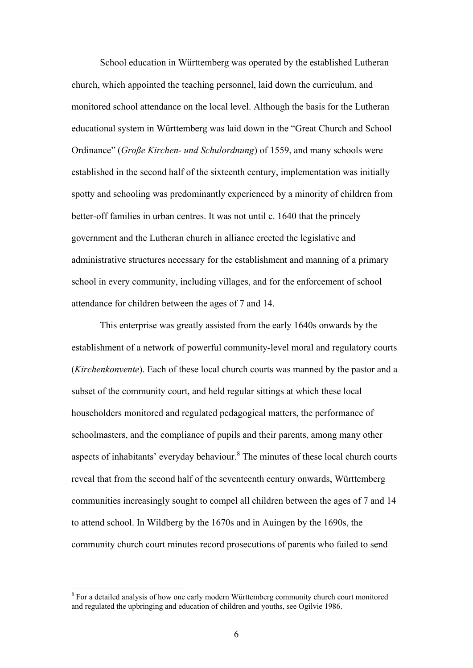School education in Württemberg was operated by the established Lutheran church, which appointed the teaching personnel, laid down the curriculum, and monitored school attendance on the local level. Although the basis for the Lutheran educational system in Württemberg was laid down in the "Great Church and School Ordinance" (*Große Kirchen- und Schulordnung*) of 1559, and many schools were established in the second half of the sixteenth century, implementation was initially spotty and schooling was predominantly experienced by a minority of children from better-off families in urban centres. It was not until c. 1640 that the princely government and the Lutheran church in alliance erected the legislative and administrative structures necessary for the establishment and manning of a primary school in every community, including villages, and for the enforcement of school attendance for children between the ages of 7 and 14.

This enterprise was greatly assisted from the early 1640s onwards by the establishment of a network of powerful community-level moral and regulatory courts (*Kirchenkonvente*). Each of these local church courts was manned by the pastor and a subset of the community court, and held regular sittings at which these local householders monitored and regulated pedagogical matters, the performance of schoolmasters, and the compliance of pupils and their parents, among many other aspects of inhabitants' everyday behaviour. $8$  The minutes of these local church courts reveal that from the second half of the seventeenth century onwards, Württemberg communities increasingly sought to compel all children between the ages of 7 and 14 to attend school. In Wildberg by the 1670s and in Auingen by the 1690s, the community church court minutes record prosecutions of parents who failed to send

<u>.</u>

<sup>&</sup>lt;sup>8</sup> For a detailed analysis of how one early modern Württemberg community church court monitored and regulated the upbringing and education of children and youths, see Ogilvie 1986.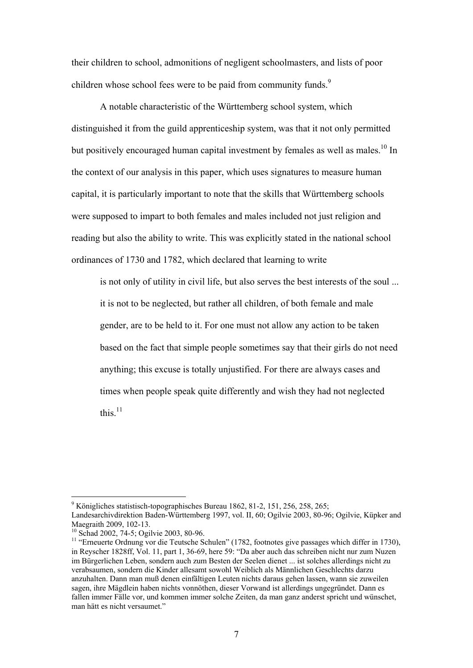their children to school, admonitions of negligent schoolmasters, and lists of poor children whose school fees were to be paid from community funds.<sup>9</sup>

A notable characteristic of the Württemberg school system, which distinguished it from the guild apprenticeship system, was that it not only permitted but positively encouraged human capital investment by females as well as males.<sup>10</sup> In the context of our analysis in this paper, which uses signatures to measure human capital, it is particularly important to note that the skills that Württemberg schools were supposed to impart to both females and males included not just religion and reading but also the ability to write. This was explicitly stated in the national school ordinances of 1730 and 1782, which declared that learning to write

is not only of utility in civil life, but also serves the best interests of the soul ... it is not to be neglected, but rather all children, of both female and male gender, are to be held to it. For one must not allow any action to be taken based on the fact that simple people sometimes say that their girls do not need anything; this excuse is totally unjustified. For there are always cases and times when people speak quite differently and wish they had not neglected this. $11$ 

<sup>&</sup>lt;sup>9</sup> Königliches statistisch-topographisches Bureau 1862, 81-2, 151, 256, 258, 265;

Landesarchivdirektion Baden-Württemberg 1997, vol. II, 60; Ogilvie 2003, 80-96; Ogilvie, Küpker and Maegraith 2009, 102-13.

<sup>10</sup> Schad 2002, 74-5; Ogilvie 2003, 80-96.

<sup>&</sup>lt;sup>11</sup> "Erneuerte Ordnung vor die Teutsche Schulen" (1782, footnotes give passages which differ in 1730), in Reyscher 1828ff, Vol. 11, part 1, 36-69, here 59: "Da aber auch das schreiben nicht nur zum Nuzen im Bürgerlichen Leben, sondern auch zum Besten der Seelen dienet ... ist solches allerdings nicht zu verabsaumen, sondern die Kinder allesamt sowohl Weiblich als Männlichen Geschlechts darzu anzuhalten. Dann man muß denen einfältigen Leuten nichts daraus gehen lassen, wann sie zuweilen sagen, ihre Mägdlein haben nichts vonnöthen, dieser Vorwand ist allerdings ungegründet. Dann es fallen immer Fälle vor, und kommen immer solche Zeiten, da man ganz anderst spricht und wünschet, man hätt es nicht versaumet."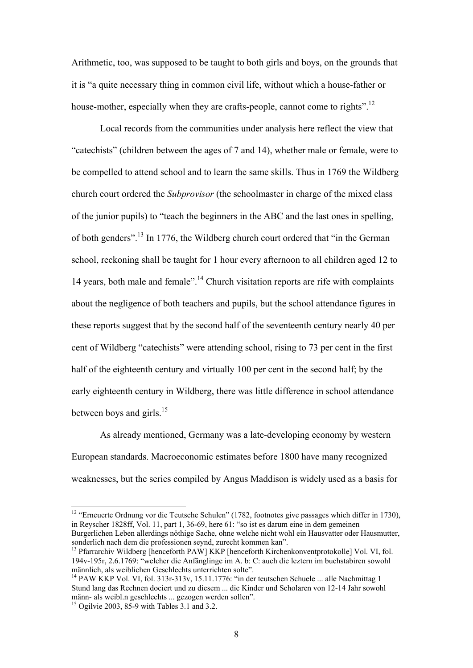Arithmetic, too, was supposed to be taught to both girls and boys, on the grounds that it is "a quite necessary thing in common civil life, without which a house-father or house-mother, especially when they are crafts-people, cannot come to rights".<sup>12</sup>

Local records from the communities under analysis here reflect the view that "catechists" (children between the ages of 7 and 14), whether male or female, were to be compelled to attend school and to learn the same skills. Thus in 1769 the Wildberg church court ordered the *Subprovisor* (the schoolmaster in charge of the mixed class of the junior pupils) to "teach the beginners in the ABC and the last ones in spelling, of both genders".13 In 1776, the Wildberg church court ordered that "in the German school, reckoning shall be taught for 1 hour every afternoon to all children aged 12 to 14 years, both male and female".14 Church visitation reports are rife with complaints about the negligence of both teachers and pupils, but the school attendance figures in these reports suggest that by the second half of the seventeenth century nearly 40 per cent of Wildberg "catechists" were attending school, rising to 73 per cent in the first half of the eighteenth century and virtually 100 per cent in the second half; by the early eighteenth century in Wildberg, there was little difference in school attendance between boys and girls. $^{15}$ 

As already mentioned, Germany was a late-developing economy by western European standards. Macroeconomic estimates before 1800 have many recognized weaknesses, but the series compiled by Angus Maddison is widely used as a basis for

<u>.</u>

<sup>&</sup>lt;sup>12</sup> "Erneuerte Ordnung vor die Teutsche Schulen" (1782, footnotes give passages which differ in 1730), in Reyscher 1828ff, Vol. 11, part 1, 36-69, here 61: "so ist es darum eine in dem gemeinen Burgerlichen Leben allerdings nöthige Sache, ohne welche nicht wohl ein Hausvatter oder Hausmutter, sonderlich nach dem die professionen seynd, zurecht kommen kan".

<sup>&</sup>lt;sup>13</sup> Pfarrarchiv Wildberg [henceforth PAW] KKP [henceforth Kirchenkonventprotokolle] Vol. VI, fol. 194v-195r, 2.6.1769: "welcher die Anfänglinge im A. b: C: auch die leztern im buchstabiren sowohl männlich, als weiblichen Geschlechts unterrichten solte".

<sup>&</sup>lt;sup>14</sup> PAW KKP Vol. VI, fol. 313r-313v, 15.11.1776: "in der teutschen Schuele ... alle Nachmittag 1 Stund lang das Rechnen dociert und zu diesem ... die Kinder und Scholaren von 12-14 Jahr sowohl männ- als weibl.n geschlechts ... gezogen werden sollen".

<sup>&</sup>lt;sup>15</sup> Ogilvie 2003, 85-9 with Tables 3.1 and 3.2.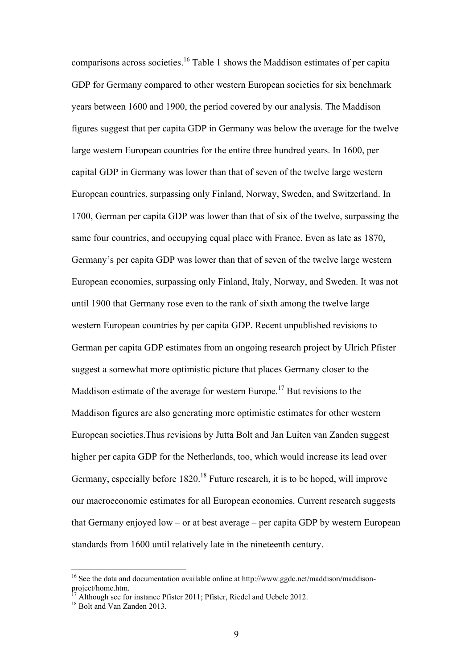comparisons across societies.16 Table 1 shows the Maddison estimates of per capita GDP for Germany compared to other western European societies for six benchmark years between 1600 and 1900, the period covered by our analysis. The Maddison figures suggest that per capita GDP in Germany was below the average for the twelve large western European countries for the entire three hundred years. In 1600, per capital GDP in Germany was lower than that of seven of the twelve large western European countries, surpassing only Finland, Norway, Sweden, and Switzerland. In 1700, German per capita GDP was lower than that of six of the twelve, surpassing the same four countries, and occupying equal place with France. Even as late as 1870, Germany's per capita GDP was lower than that of seven of the twelve large western European economies, surpassing only Finland, Italy, Norway, and Sweden. It was not until 1900 that Germany rose even to the rank of sixth among the twelve large western European countries by per capita GDP. Recent unpublished revisions to German per capita GDP estimates from an ongoing research project by Ulrich Pfister suggest a somewhat more optimistic picture that places Germany closer to the Maddison estimate of the average for western Europe.<sup>17</sup> But revisions to the Maddison figures are also generating more optimistic estimates for other western European societies.Thus revisions by Jutta Bolt and Jan Luiten van Zanden suggest higher per capita GDP for the Netherlands, too, which would increase its lead over Germany, especially before 1820.<sup>18</sup> Future research, it is to be hoped, will improve our macroeconomic estimates for all European economies. Current research suggests that Germany enjoyed low – or at best average – per capita GDP by western European standards from 1600 until relatively late in the nineteenth century.

<sup>&</sup>lt;sup>16</sup> See the data and documentation available online at http://www.ggdc.net/maddison/maddisonproject/home.htm.

 $17 \text{ Å}$  Although see for instance Pfister 2011; Pfister, Riedel and Uebele 2012. <sup>18</sup> Bolt and Van Zanden 2013.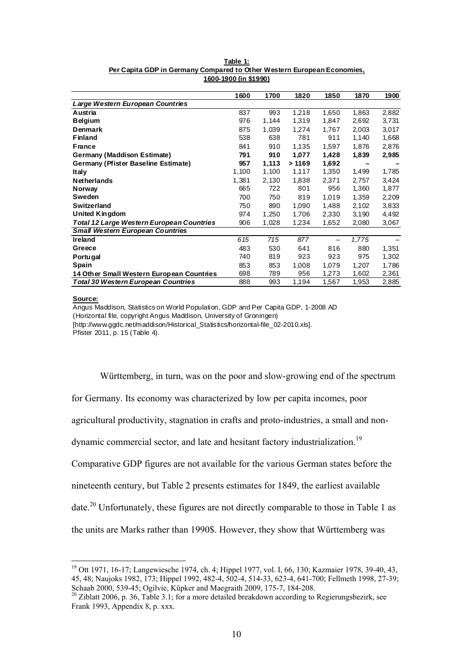|                                                  | 1600  | 1700  | 1820  | 1850  | 1870  | 1900  |
|--------------------------------------------------|-------|-------|-------|-------|-------|-------|
| Large Western European Countries                 |       |       |       |       |       |       |
| Austria                                          | 837   | 993   | 1,218 | 1,650 | 1,863 | 2,882 |
| <b>Belgium</b>                                   | 976   | 1,144 | 1,319 | 1,847 | 2,692 | 3,731 |
| <b>Denmark</b>                                   | 875   | 1,039 | 1,274 | 1,767 | 2,003 | 3,017 |
| <b>Finland</b>                                   | 538   | 638   | 781   | 911   | 1,140 | 1,668 |
| <b>France</b>                                    | 841   | 910   | 1,135 | 1,597 | 1,876 | 2,876 |
| <b>Germany (Maddison Estimate)</b>               | 791   | 910   | 1,077 | 1,428 | 1,839 | 2,985 |
| Germany (Pfister Baseline Estimate)              | 957   | 1,113 | >1169 | 1,692 |       |       |
| <b>Italy</b>                                     | 1,100 | 1,100 | 1,117 | 1,350 | 1,499 | 1,785 |
| <b>Netherlands</b>                               | 1,381 | 2,130 | 1,838 | 2,371 | 2,757 | 3,424 |
| Norway                                           | 665   | 722   | 801   | 956   | 1,360 | 1,877 |
| Sweden                                           | 700   | 750   | 819   | 1,019 | 1,359 | 2,209 |
| <b>Switzerland</b>                               | 750   | 890   | 1,090 | 1,488 | 2,102 | 3,833 |
| <b>United Kingdom</b>                            | 974   | 1,250 | 1,706 | 2,330 | 3,190 | 4,492 |
| <b>Total 12 Large Western European Countries</b> | 906   | 1,028 | 1,234 | 1,652 | 2,080 | 3,067 |
| <b>Small Western European Countries</b>          |       |       |       |       |       |       |
| <b>Ireland</b>                                   | 615   | 715   | 877   |       | 1,775 |       |
| Greece                                           | 483   | 530   | 641   | 816   | 880   | 1,351 |
| <b>Portugal</b>                                  | 740   | 819   | 923   | 923   | 975   | 1,302 |
| Spain                                            | 853   | 853   | 1.008 | 1,079 | 1,207 | 1,786 |
| 14 Other Small Western European Countries        | 698   | 789   | 956   | 1,273 | 1,602 | 2,361 |
| <b>Total 30 Western European Countries</b>       | 888   | 993   | 1,194 | 1,567 | 1,953 | 2,885 |

#### **Table 1: Per Capita GDP in Germany Compared to Other Western European Economies, 1600-1900 (in \$1990)**

#### **Source:**

<u>.</u>

Angus Maddison, Statistics on World Population, GDP and Per Capita GDP, 1-2008 AD (Horizontal file, copyright Angus Maddison, University of Groningen) [http://www.ggdc.net/maddison/Historical\_Statistics/horizontal-file\_02-2010.xls]. Pfister 2011, p. 15 (Table 4).

Württemberg, in turn, was on the poor and slow-growing end of the spectrum for Germany. Its economy was characterized by low per capita incomes, poor agricultural productivity, stagnation in crafts and proto-industries, a small and nondynamic commercial sector, and late and hesitant factory industrialization.<sup>19</sup> Comparative GDP figures are not available for the various German states before the nineteenth century, but Table 2 presents estimates for 1849, the earliest available date.<sup>20</sup> Unfortunately, these figures are not directly comparable to those in Table 1 as the units are Marks rather than 1990\$. However, they show that Württemberg was

<sup>19</sup> Ott 1971, 16-17; Langewiesche 1974, ch. 4; Hippel 1977, vol. I, 66, 130; Kazmaier 1978, 39-40, 43, 45, 48; Naujoks 1982, 173; Hippel 1992, 482-4, 502-4, 514-33, 623-4, 641-700; Fellmeth 1998, 27-39; Schaab 2000, 539-45; Ogilvie, Küpker and Maegraith 2009, 175-7, 184-208.

<sup>&</sup>lt;sup>20</sup> Ziblatt 2006, p. 36, Table 3.1; for a more detailed breakdown according to Regierungsbezirk, see Frank 1993, Appendix 8, p. xxx.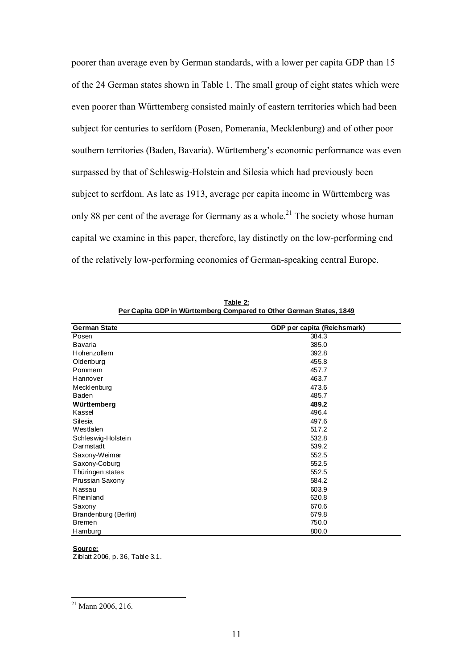poorer than average even by German standards, with a lower per capita GDP than 15 of the 24 German states shown in Table 1. The small group of eight states which were even poorer than Württemberg consisted mainly of eastern territories which had been subject for centuries to serfdom (Posen, Pomerania, Mecklenburg) and of other poor southern territories (Baden, Bavaria). Württemberg's economic performance was even surpassed by that of Schleswig-Holstein and Silesia which had previously been subject to serfdom. As late as 1913, average per capita income in Württemberg was only 88 per cent of the average for Germany as a whole.<sup>21</sup> The society whose human capital we examine in this paper, therefore, lay distinctly on the low-performing end of the relatively low-performing economies of German-speaking central Europe.

| <b>German State</b>  | GDP per capita (Reichsmark) |  |  |
|----------------------|-----------------------------|--|--|
| Posen                | 384.3                       |  |  |
| Bavaria              | 385.0                       |  |  |
| Hohenzollern         | 392.8                       |  |  |
| Oldenburg            | 455.8                       |  |  |
| Pommern              | 457.7                       |  |  |
| Hannover             | 463.7                       |  |  |
| Mecklenburg          | 473.6                       |  |  |
| Baden                | 485.7                       |  |  |
| Württemberg          | 489.2                       |  |  |
| Kassel               | 496.4                       |  |  |
| Silesia              | 497.6                       |  |  |
| Westfalen            | 517.2                       |  |  |
| Schleswig-Holstein   | 532.8                       |  |  |
| Darmstadt            | 539.2                       |  |  |
| Saxony-Weimar        | 552.5                       |  |  |
| Saxony-Coburg        | 552.5                       |  |  |
| Thüringen states     | 552.5                       |  |  |
| Prussian Saxony      | 584.2                       |  |  |
| Nassau               | 603.9                       |  |  |
| Rheinland            | 620.8                       |  |  |
| Saxony               | 670.6                       |  |  |
| Brandenburg (Berlin) | 679.8                       |  |  |
| <b>Bremen</b>        | 750.0                       |  |  |
| Hamburg              | 800.0                       |  |  |

**Table 2: Per Capita GDP in Württemberg Compared to Other German States, 1849**

**Source:** Ziblatt 2006, p. 36, Table 3.1.

 $21$  Mann 2006, 216.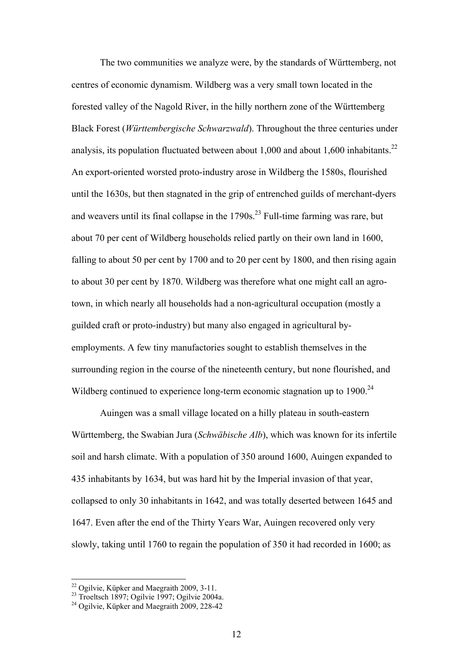The two communities we analyze were, by the standards of Württemberg, not centres of economic dynamism. Wildberg was a very small town located in the forested valley of the Nagold River, in the hilly northern zone of the Württemberg Black Forest (*Württembergische Schwarzwald*). Throughout the three centuries under analysis, its population fluctuated between about 1,000 and about 1,600 inhabitants.<sup>22</sup> An export-oriented worsted proto-industry arose in Wildberg the 1580s, flourished until the 1630s, but then stagnated in the grip of entrenched guilds of merchant-dyers and weavers until its final collapse in the  $1790s$ <sup>23</sup> Full-time farming was rare, but about 70 per cent of Wildberg households relied partly on their own land in 1600, falling to about 50 per cent by 1700 and to 20 per cent by 1800, and then rising again to about 30 per cent by 1870. Wildberg was therefore what one might call an agrotown, in which nearly all households had a non-agricultural occupation (mostly a guilded craft or proto-industry) but many also engaged in agricultural byemployments. A few tiny manufactories sought to establish themselves in the surrounding region in the course of the nineteenth century, but none flourished, and Wildberg continued to experience long-term economic stagnation up to 1900.<sup>24</sup>

Auingen was a small village located on a hilly plateau in south-eastern Württemberg, the Swabian Jura (*Schwäbische Alb*), which was known for its infertile soil and harsh climate. With a population of 350 around 1600, Auingen expanded to 435 inhabitants by 1634, but was hard hit by the Imperial invasion of that year, collapsed to only 30 inhabitants in 1642, and was totally deserted between 1645 and 1647. Even after the end of the Thirty Years War, Auingen recovered only very slowly, taking until 1760 to regain the population of 350 it had recorded in 1600; as

 $22$  Ogilvie, Küpker and Maegraith 2009, 3-11.

<sup>23</sup> Troeltsch 1897; Ogilvie 1997; Ogilvie 2004a.

<sup>24</sup> Ogilvie, Küpker and Maegraith 2009, 228-42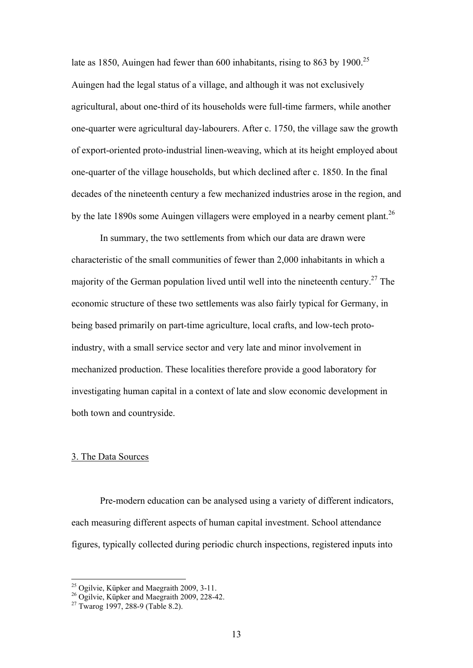late as 1850, Auingen had fewer than 600 inhabitants, rising to 863 by 1900.<sup>25</sup> Auingen had the legal status of a village, and although it was not exclusively agricultural, about one-third of its households were full-time farmers, while another one-quarter were agricultural day-labourers. After c. 1750, the village saw the growth of export-oriented proto-industrial linen-weaving, which at its height employed about one-quarter of the village households, but which declined after c. 1850. In the final decades of the nineteenth century a few mechanized industries arose in the region, and by the late 1890s some Auingen villagers were employed in a nearby cement plant.<sup>26</sup>

In summary, the two settlements from which our data are drawn were characteristic of the small communities of fewer than 2,000 inhabitants in which a majority of the German population lived until well into the nineteenth century.27 The economic structure of these two settlements was also fairly typical for Germany, in being based primarily on part-time agriculture, local crafts, and low-tech protoindustry, with a small service sector and very late and minor involvement in mechanized production. These localities therefore provide a good laboratory for investigating human capital in a context of late and slow economic development in both town and countryside.

#### 3. The Data Sources

Pre-modern education can be analysed using a variety of different indicators, each measuring different aspects of human capital investment. School attendance figures, typically collected during periodic church inspections, registered inputs into

 $25$  Ogilvie, Küpker and Maegraith 2009, 3-11.

 $^{26}$  Ogilvie, Küpker and Maegraith 2009, 228-42.

 $27$  Twarog 1997, 288-9 (Table 8.2).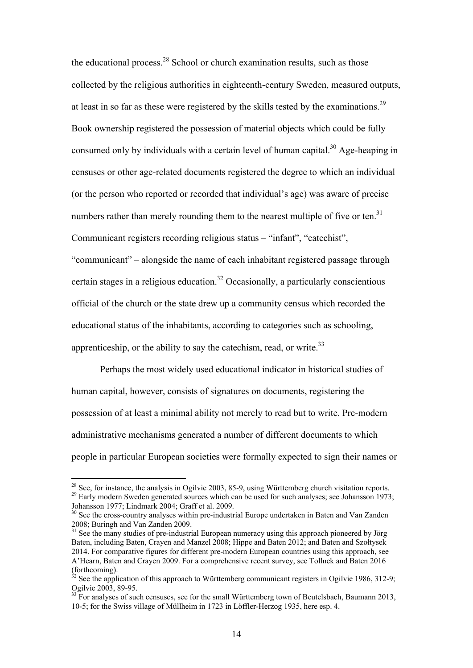the educational process.<sup>28</sup> School or church examination results, such as those collected by the religious authorities in eighteenth-century Sweden, measured outputs, at least in so far as these were registered by the skills tested by the examinations.<sup>29</sup> Book ownership registered the possession of material objects which could be fully consumed only by individuals with a certain level of human capital.<sup>30</sup> Age-heaping in censuses or other age-related documents registered the degree to which an individual (or the person who reported or recorded that individual's age) was aware of precise numbers rather than merely rounding them to the nearest multiple of five or ten.<sup>31</sup> Communicant registers recording religious status – "infant", "catechist", "communicant" – alongside the name of each inhabitant registered passage through certain stages in a religious education.<sup>32</sup> Occasionally, a particularly conscientious official of the church or the state drew up a community census which recorded the educational status of the inhabitants, according to categories such as schooling, apprenticeship, or the ability to say the catechism, read, or write. $33$ 

Perhaps the most widely used educational indicator in historical studies of human capital, however, consists of signatures on documents, registering the possession of at least a minimal ability not merely to read but to write. Pre-modern administrative mechanisms generated a number of different documents to which people in particular European societies were formally expected to sign their names or

 $^{28}$  See, for instance, the analysis in Ogilyie 2003, 85-9, using Württemberg church visitation reports.  $29$  Early modern Sweden generated sources which can be used for such analyses; see Johansson 1973; Johansson 1977; Lindmark 2004; Graff et al. 2009.

<sup>&</sup>lt;sup>30</sup> See the cross-country analyses within pre-industrial Europe undertaken in Baten and Van Zanden 2008; Buringh and Van Zanden 2009.

<sup>&</sup>lt;sup>31</sup> See the many studies of pre-industrial European numeracy using this approach pioneered by Jörg Baten, including Baten, Crayen and Manzel 2008; Hippe and Baten 2012; and Baten and Szołtysek 2014. For comparative figures for different pre-modern European countries using this approach, see A'Hearn, Baten and Crayen 2009. For a comprehensive recent survey, see Tollnek and Baten 2016 (forthcoming).

 $32$  See the application of this approach to Württemberg communicant registers in Ogilvie 1986, 312-9; Ogilvie 2003, 89-95.

 $33$  For analyses of such censuses, see for the small Württemberg town of Beutelsbach, Baumann 2013, 10-5; for the Swiss village of Müllheim in 1723 in Löffler-Herzog 1935, here esp. 4.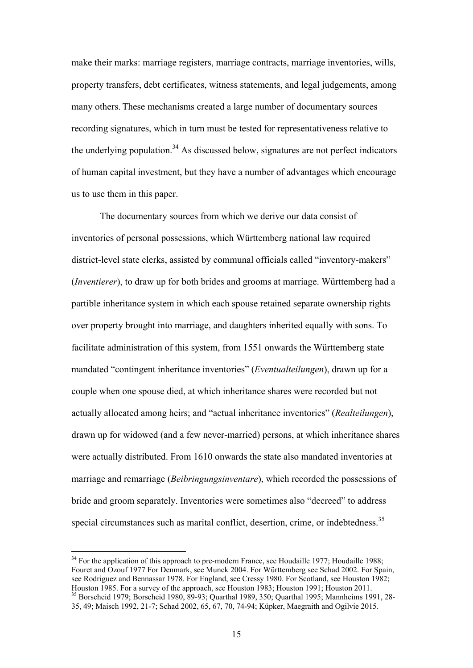make their marks: marriage registers, marriage contracts, marriage inventories, wills, property transfers, debt certificates, witness statements, and legal judgements, among many others. These mechanisms created a large number of documentary sources recording signatures, which in turn must be tested for representativeness relative to the underlying population.<sup>34</sup> As discussed below, signatures are not perfect indicators of human capital investment, but they have a number of advantages which encourage us to use them in this paper.

The documentary sources from which we derive our data consist of inventories of personal possessions, which Württemberg national law required district-level state clerks, assisted by communal officials called "inventory-makers" (*Inventierer*), to draw up for both brides and grooms at marriage. Württemberg had a partible inheritance system in which each spouse retained separate ownership rights over property brought into marriage, and daughters inherited equally with sons. To facilitate administration of this system, from 1551 onwards the Württemberg state mandated "contingent inheritance inventories" (*Eventualteilungen*), drawn up for a couple when one spouse died, at which inheritance shares were recorded but not actually allocated among heirs; and "actual inheritance inventories" (*Realteilungen*), drawn up for widowed (and a few never-married) persons, at which inheritance shares were actually distributed. From 1610 onwards the state also mandated inventories at marriage and remarriage (*Beibringungsinventare*), which recorded the possessions of bride and groom separately. Inventories were sometimes also "decreed" to address special circumstances such as marital conflict, desertion, crime, or indebtedness.<sup>35</sup>

<sup>34</sup> For the application of this approach to pre-modern France, see Houdaille 1977; Houdaille 1988; Fouret and Ozouf 1977 For Denmark, see Munck 2004. For Württemberg see Schad 2002. For Spain, see Rodriguez and Bennassar 1978. For England, see Cressy 1980. For Scotland, see Houston 1982; Houston 1985. For a survey of the approach, see Houston 1983; Houston 1991; Houston 2011. <sup>35</sup> Borscheid 1979; Borscheid 1980, 89-93; Quarthal 1989, 350; Quarthal 1995; Mannheims 1991, 28-35, 49; Maisch 1992, 21-7; Schad 2002, 65, 67, 70, 74-94; Küpker, Maegraith and Ogilvie 2015.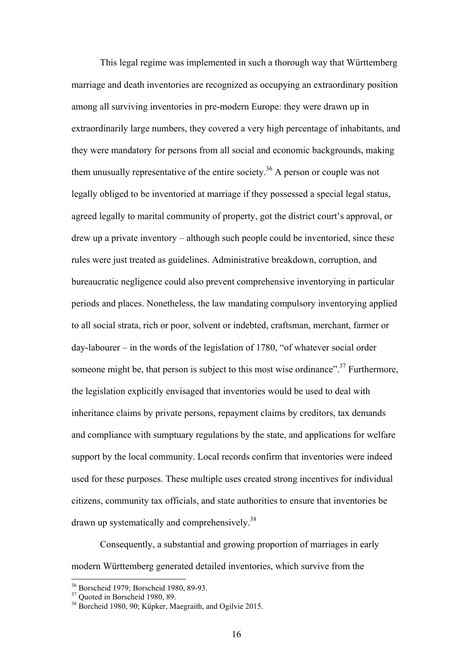This legal regime was implemented in such a thorough way that Württemberg marriage and death inventories are recognized as occupying an extraordinary position among all surviving inventories in pre-modern Europe: they were drawn up in extraordinarily large numbers, they covered a very high percentage of inhabitants, and they were mandatory for persons from all social and economic backgrounds, making them unusually representative of the entire society.<sup>36</sup> A person or couple was not legally obliged to be inventoried at marriage if they possessed a special legal status, agreed legally to marital community of property, got the district court's approval, or drew up a private inventory – although such people could be inventoried, since these rules were just treated as guidelines. Administrative breakdown, corruption, and bureaucratic negligence could also prevent comprehensive inventorying in particular periods and places. Nonetheless, the law mandating compulsory inventorying applied to all social strata, rich or poor, solvent or indebted, craftsman, merchant, farmer or day-labourer – in the words of the legislation of 1780, "of whatever social order someone might be, that person is subject to this most wise ordinance".<sup>37</sup> Furthermore, the legislation explicitly envisaged that inventories would be used to deal with inheritance claims by private persons, repayment claims by creditors, tax demands and compliance with sumptuary regulations by the state, and applications for welfare support by the local community. Local records confirm that inventories were indeed used for these purposes. These multiple uses created strong incentives for individual citizens, community tax officials, and state authorities to ensure that inventories be drawn up systematically and comprehensively.38

Consequently, a substantial and growing proportion of marriages in early modern Württemberg generated detailed inventories, which survive from the

<sup>36</sup> Borscheid 1979; Borscheid 1980, 89-93.

<sup>&</sup>lt;sup>37</sup> Ouoted in Borscheid 1980, 89.

<sup>38</sup> Borcheid 1980, 90; Küpker, Maegraith, and Ogilvie 2015.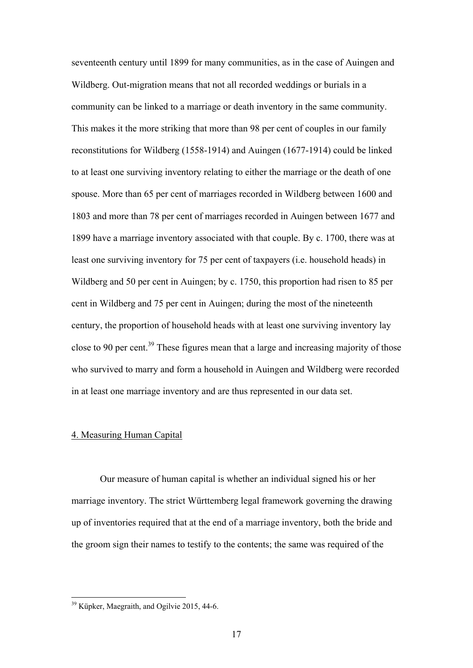seventeenth century until 1899 for many communities, as in the case of Auingen and Wildberg. Out-migration means that not all recorded weddings or burials in a community can be linked to a marriage or death inventory in the same community. This makes it the more striking that more than 98 per cent of couples in our family reconstitutions for Wildberg (1558-1914) and Auingen (1677-1914) could be linked to at least one surviving inventory relating to either the marriage or the death of one spouse. More than 65 per cent of marriages recorded in Wildberg between 1600 and 1803 and more than 78 per cent of marriages recorded in Auingen between 1677 and 1899 have a marriage inventory associated with that couple. By c. 1700, there was at least one surviving inventory for 75 per cent of taxpayers (i.e. household heads) in Wildberg and 50 per cent in Auingen; by c. 1750, this proportion had risen to 85 per cent in Wildberg and 75 per cent in Auingen; during the most of the nineteenth century, the proportion of household heads with at least one surviving inventory lay close to 90 per cent.<sup>39</sup> These figures mean that a large and increasing majority of those who survived to marry and form a household in Auingen and Wildberg were recorded in at least one marriage inventory and are thus represented in our data set.

#### 4. Measuring Human Capital

Our measure of human capital is whether an individual signed his or her marriage inventory. The strict Württemberg legal framework governing the drawing up of inventories required that at the end of a marriage inventory, both the bride and the groom sign their names to testify to the contents; the same was required of the

<sup>&</sup>lt;sup>39</sup> Küpker, Maegraith, and Ogilvie 2015, 44-6.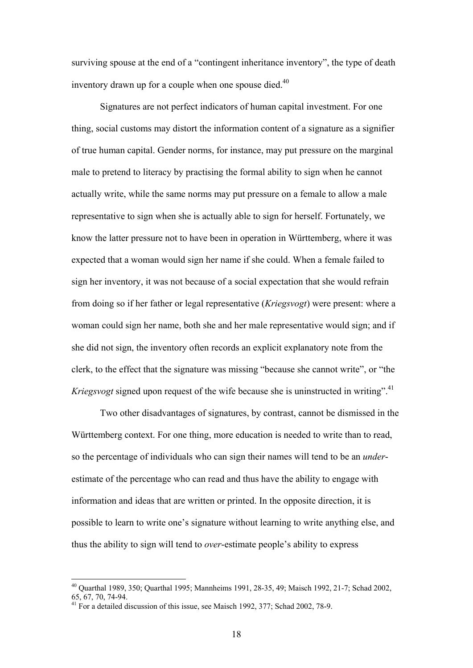surviving spouse at the end of a "contingent inheritance inventory", the type of death inventory drawn up for a couple when one spouse died. $40$ 

Signatures are not perfect indicators of human capital investment. For one thing, social customs may distort the information content of a signature as a signifier of true human capital. Gender norms, for instance, may put pressure on the marginal male to pretend to literacy by practising the formal ability to sign when he cannot actually write, while the same norms may put pressure on a female to allow a male representative to sign when she is actually able to sign for herself. Fortunately, we know the latter pressure not to have been in operation in Württemberg, where it was expected that a woman would sign her name if she could. When a female failed to sign her inventory, it was not because of a social expectation that she would refrain from doing so if her father or legal representative (*Kriegsvogt*) were present: where a woman could sign her name, both she and her male representative would sign; and if she did not sign, the inventory often records an explicit explanatory note from the clerk, to the effect that the signature was missing "because she cannot write", or "the *Kriegsvogt* signed upon request of the wife because she is uninstructed in writing".<sup>41</sup>

Two other disadvantages of signatures, by contrast, cannot be dismissed in the Württemberg context. For one thing, more education is needed to write than to read, so the percentage of individuals who can sign their names will tend to be an *under*estimate of the percentage who can read and thus have the ability to engage with information and ideas that are written or printed. In the opposite direction, it is possible to learn to write one's signature without learning to write anything else, and thus the ability to sign will tend to *over*-estimate people's ability to express

<sup>40</sup> Quarthal 1989, 350; Quarthal 1995; Mannheims 1991, 28-35, 49; Maisch 1992, 21-7; Schad 2002, 65, 67, 70, 74-94.

<sup>&</sup>lt;sup>41</sup> For a detailed discussion of this issue, see Maisch 1992, 377; Schad 2002, 78-9.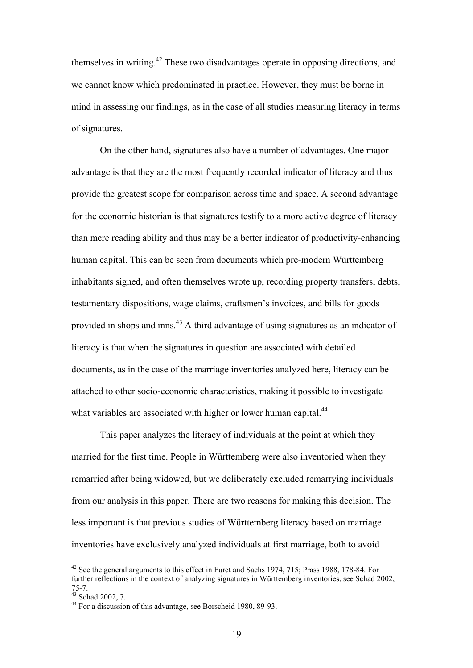themselves in writing.42 These two disadvantages operate in opposing directions, and we cannot know which predominated in practice. However, they must be borne in mind in assessing our findings, as in the case of all studies measuring literacy in terms of signatures.

On the other hand, signatures also have a number of advantages. One major advantage is that they are the most frequently recorded indicator of literacy and thus provide the greatest scope for comparison across time and space. A second advantage for the economic historian is that signatures testify to a more active degree of literacy than mere reading ability and thus may be a better indicator of productivity-enhancing human capital. This can be seen from documents which pre-modern Württemberg inhabitants signed, and often themselves wrote up, recording property transfers, debts, testamentary dispositions, wage claims, craftsmen's invoices, and bills for goods provided in shops and inns.43 A third advantage of using signatures as an indicator of literacy is that when the signatures in question are associated with detailed documents, as in the case of the marriage inventories analyzed here, literacy can be attached to other socio-economic characteristics, making it possible to investigate what variables are associated with higher or lower human capital.<sup>44</sup>

This paper analyzes the literacy of individuals at the point at which they married for the first time. People in Württemberg were also inventoried when they remarried after being widowed, but we deliberately excluded remarrying individuals from our analysis in this paper. There are two reasons for making this decision. The less important is that previous studies of Württemberg literacy based on marriage inventories have exclusively analyzed individuals at first marriage, both to avoid

<u>.</u>

<sup>&</sup>lt;sup>42</sup> See the general arguments to this effect in Furet and Sachs 1974, 715; Prass 1988, 178-84. For further reflections in the context of analyzing signatures in Württemberg inventories, see Schad 2002, 75-7.

<sup>43</sup> Schad 2002, 7.

<sup>44</sup> For a discussion of this advantage, see Borscheid 1980, 89-93.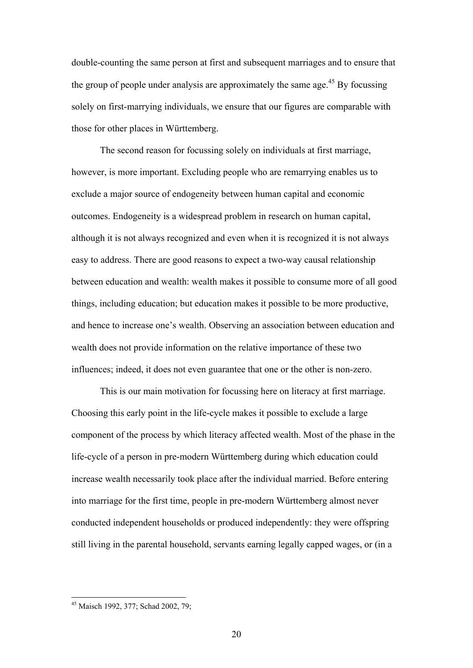double-counting the same person at first and subsequent marriages and to ensure that the group of people under analysis are approximately the same age.<sup>45</sup> By focussing solely on first-marrying individuals, we ensure that our figures are comparable with those for other places in Württemberg.

The second reason for focussing solely on individuals at first marriage, however, is more important. Excluding people who are remarrying enables us to exclude a major source of endogeneity between human capital and economic outcomes. Endogeneity is a widespread problem in research on human capital, although it is not always recognized and even when it is recognized it is not always easy to address. There are good reasons to expect a two-way causal relationship between education and wealth: wealth makes it possible to consume more of all good things, including education; but education makes it possible to be more productive, and hence to increase one's wealth. Observing an association between education and wealth does not provide information on the relative importance of these two influences; indeed, it does not even guarantee that one or the other is non-zero.

This is our main motivation for focussing here on literacy at first marriage. Choosing this early point in the life-cycle makes it possible to exclude a large component of the process by which literacy affected wealth. Most of the phase in the life-cycle of a person in pre-modern Württemberg during which education could increase wealth necessarily took place after the individual married. Before entering into marriage for the first time, people in pre-modern Württemberg almost never conducted independent households or produced independently: they were offspring still living in the parental household, servants earning legally capped wages, or (in a

<sup>&</sup>lt;sup>45</sup> Maisch 1992, 377; Schad 2002, 79;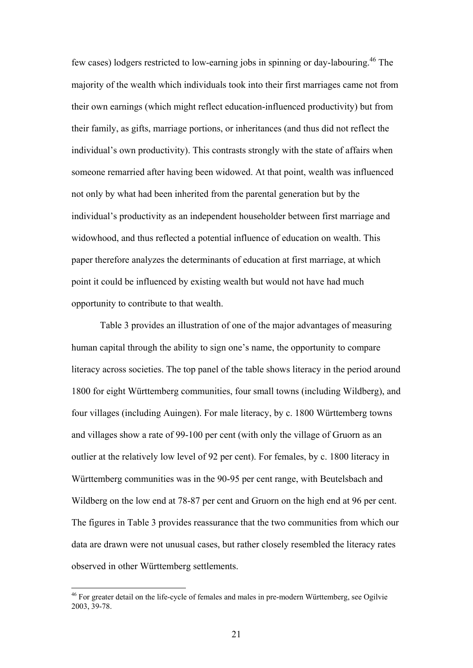few cases) lodgers restricted to low-earning jobs in spinning or day-labouring.46 The majority of the wealth which individuals took into their first marriages came not from their own earnings (which might reflect education-influenced productivity) but from their family, as gifts, marriage portions, or inheritances (and thus did not reflect the individual's own productivity). This contrasts strongly with the state of affairs when someone remarried after having been widowed. At that point, wealth was influenced not only by what had been inherited from the parental generation but by the individual's productivity as an independent householder between first marriage and widowhood, and thus reflected a potential influence of education on wealth. This paper therefore analyzes the determinants of education at first marriage, at which point it could be influenced by existing wealth but would not have had much opportunity to contribute to that wealth.

Table 3 provides an illustration of one of the major advantages of measuring human capital through the ability to sign one's name, the opportunity to compare literacy across societies. The top panel of the table shows literacy in the period around 1800 for eight Württemberg communities, four small towns (including Wildberg), and four villages (including Auingen). For male literacy, by c. 1800 Württemberg towns and villages show a rate of 99-100 per cent (with only the village of Gruorn as an outlier at the relatively low level of 92 per cent). For females, by c. 1800 literacy in Württemberg communities was in the 90-95 per cent range, with Beutelsbach and Wildberg on the low end at 78-87 per cent and Gruorn on the high end at 96 per cent. The figures in Table 3 provides reassurance that the two communities from which our data are drawn were not unusual cases, but rather closely resembled the literacy rates observed in other Württemberg settlements.

<u>.</u>

<sup>&</sup>lt;sup>46</sup> For greater detail on the life-cycle of females and males in pre-modern Württemberg, see Ogilvie 2003, 39-78.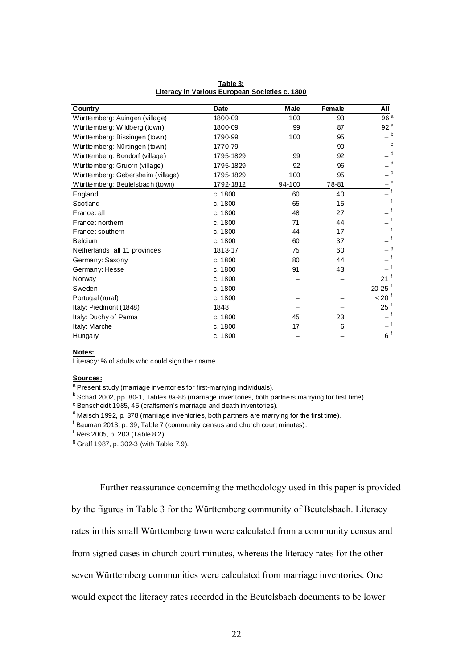| Country                           | <b>Date</b> | Male   | Female | All                    |
|-----------------------------------|-------------|--------|--------|------------------------|
| Württemberg: Auingen (village)    | 1800-09     | 100    | 93     | 96 <sup>a</sup>        |
| Württemberg: Wildberg (town)      | 1800-09     | 99     | 87     | 92 <sup>a</sup>        |
| Württemberg: Bissingen (town)     | 1790-99     | 100    | 95     | $\mathbf b$            |
| Württemberg: Nürtingen (town)     | 1770-79     |        | 90     | $\mathbf{C}$           |
| Württemberg: Bondorf (village)    | 1795-1829   | 99     | 92     | $\mathsf{d}$           |
| Württemberg: Gruorn (village)     | 1795-1829   | 92     | 96     | $\mathsf{d}$           |
| Württemberg: Gebersheim (village) | 1795-1829   | 100    | 95     | $\mathsf{d}$           |
| Württemberg: Beutelsbach (town)   | 1792-1812   | 94-100 | 78-81  |                        |
| England                           | c. 1800     | 60     | 40     |                        |
| Scotland                          | c. 1800     | 65     | 15     | f                      |
| France: all                       | c. 1800     | 48     | 27     | $\overline{f}$         |
| France: northern                  | c. 1800     | 71     | 44     |                        |
| France: southern                  | c. 1800     | 44     | 17     |                        |
| Belgium                           | c. 1800     | 60     | 37     | $\mathsf{f}$           |
| Netherlands: all 11 provinces     | 1813-17     | 75     | 60     |                        |
| Germany: Saxony                   | c. 1800     | 80     | 44     | $\mathsf{f}$           |
| Germany: Hesse                    | c. 1800     | 91     | 43     | f                      |
| Norway                            | c. 1800     |        |        | $21$ <sup>f</sup>      |
| Sweden                            | c. 1800     |        |        | $20 - 25$ <sup>f</sup> |
| Portugal (rural)                  | c. 1800     |        |        | $< 20^{\circ}$         |
| Italy: Piedmont (1848)            | 1848        |        |        | $25^{\frac{1}{3}}$     |
| Italy: Duchy of Parma             | c. 1800     | 45     | 23     | f                      |
| Italy: Marche                     | c. 1800     | 17     | 6      |                        |
| <b>Hungary</b>                    | c. 1800     |        |        | $6^{\circ}$            |

**Table 3: Literacy in Various European Societies c. 1800**

#### **Notes:**

Literacy: % of adults who could sign their name.

#### **Sources:**

<sup>a</sup> Present study (marriage inventories for first-marrying individuals).

<sup>b</sup> Schad 2002, pp. 80-1, Tables 8a-8b (marriage inventories, both partners marrying for first time).

c Benscheidt 1985, 45 (craftsmen's marriage and death inventories).

<sup>d</sup> Maisch 1992, p. 378 (marriage inventories, both partners are marrying for the first time).

<sup>f</sup> Bauman 2013, p. 39, Table 7 (community census and church court minutes).

f Reis 2005, p. 203 (Table 8.2).

<sup>9</sup> Graff 1987, p. 302-3 (with Table 7.9).

Further reassurance concerning the methodology used in this paper is provided

by the figures in Table 3 for the Württemberg community of Beutelsbach. Literacy

rates in this small Württemberg town were calculated from a community census and

from signed cases in church court minutes, whereas the literacy rates for the other

seven Württemberg communities were calculated from marriage inventories. One

would expect the literacy rates recorded in the Beutelsbach documents to be lower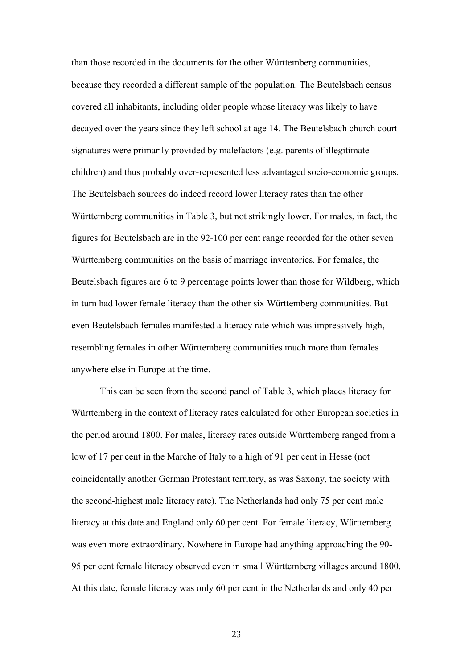than those recorded in the documents for the other Württemberg communities, because they recorded a different sample of the population. The Beutelsbach census covered all inhabitants, including older people whose literacy was likely to have decayed over the years since they left school at age 14. The Beutelsbach church court signatures were primarily provided by malefactors (e.g. parents of illegitimate children) and thus probably over-represented less advantaged socio-economic groups. The Beutelsbach sources do indeed record lower literacy rates than the other Württemberg communities in Table 3, but not strikingly lower. For males, in fact, the figures for Beutelsbach are in the 92-100 per cent range recorded for the other seven Württemberg communities on the basis of marriage inventories. For females, the Beutelsbach figures are 6 to 9 percentage points lower than those for Wildberg, which in turn had lower female literacy than the other six Württemberg communities. But even Beutelsbach females manifested a literacy rate which was impressively high, resembling females in other Württemberg communities much more than females anywhere else in Europe at the time.

This can be seen from the second panel of Table 3, which places literacy for Württemberg in the context of literacy rates calculated for other European societies in the period around 1800. For males, literacy rates outside Württemberg ranged from a low of 17 per cent in the Marche of Italy to a high of 91 per cent in Hesse (not coincidentally another German Protestant territory, as was Saxony, the society with the second-highest male literacy rate). The Netherlands had only 75 per cent male literacy at this date and England only 60 per cent. For female literacy, Württemberg was even more extraordinary. Nowhere in Europe had anything approaching the 90- 95 per cent female literacy observed even in small Württemberg villages around 1800. At this date, female literacy was only 60 per cent in the Netherlands and only 40 per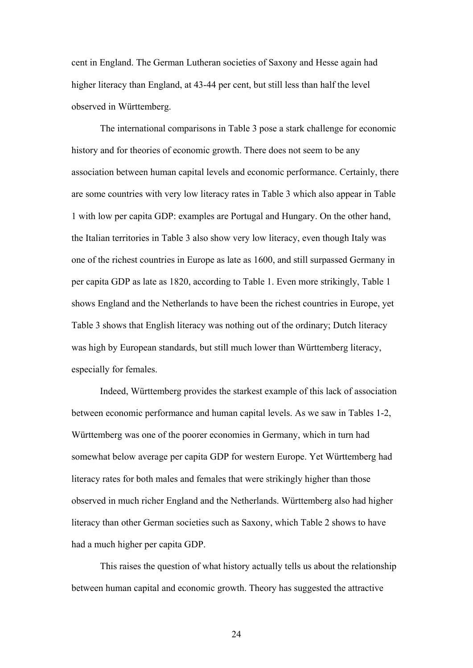cent in England. The German Lutheran societies of Saxony and Hesse again had higher literacy than England, at 43-44 per cent, but still less than half the level observed in Württemberg.

The international comparisons in Table 3 pose a stark challenge for economic history and for theories of economic growth. There does not seem to be any association between human capital levels and economic performance. Certainly, there are some countries with very low literacy rates in Table 3 which also appear in Table 1 with low per capita GDP: examples are Portugal and Hungary. On the other hand, the Italian territories in Table 3 also show very low literacy, even though Italy was one of the richest countries in Europe as late as 1600, and still surpassed Germany in per capita GDP as late as 1820, according to Table 1. Even more strikingly, Table 1 shows England and the Netherlands to have been the richest countries in Europe, yet Table 3 shows that English literacy was nothing out of the ordinary; Dutch literacy was high by European standards, but still much lower than Württemberg literacy, especially for females.

Indeed, Württemberg provides the starkest example of this lack of association between economic performance and human capital levels. As we saw in Tables 1-2, Württemberg was one of the poorer economies in Germany, which in turn had somewhat below average per capita GDP for western Europe. Yet Württemberg had literacy rates for both males and females that were strikingly higher than those observed in much richer England and the Netherlands. Württemberg also had higher literacy than other German societies such as Saxony, which Table 2 shows to have had a much higher per capita GDP.

This raises the question of what history actually tells us about the relationship between human capital and economic growth. Theory has suggested the attractive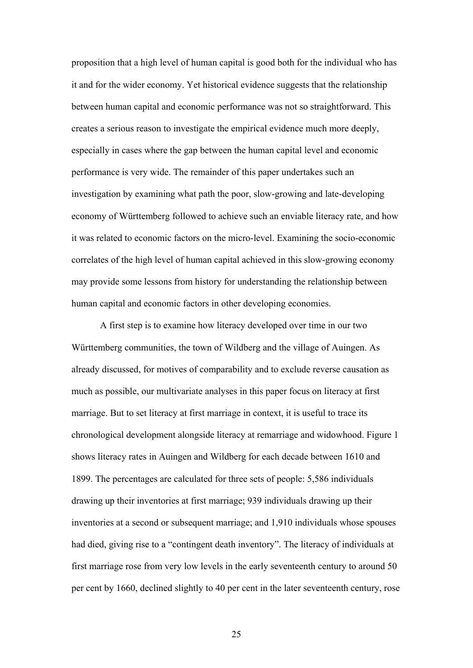proposition that a high level of human capital is good both for the individual who has it and for the wider economy. Yet historical evidence suggests that the relationship between human capital and economic performance was not so straightforward. This creates a serious reason to investigate the empirical evidence much more deeply, especially in cases where the gap between the human capital level and economic performance is very wide. The remainder of this paper undertakes such an investigation by examining what path the poor, slow-growing and late-developing economy of Württemberg followed to achieve such an enviable literacy rate, and how it was related to economic factors on the micro-level. Examining the socio-economic correlates of the high level of human capital achieved in this slow-growing economy may provide some lessons from history for understanding the relationship between human capital and economic factors in other developing economies.

A first step is to examine how literacy developed over time in our two Württemberg communities, the town of Wildberg and the village of Auingen. As already discussed, for motives of comparability and to exclude reverse causation as much as possible, our multivariate analyses in this paper focus on literacy at first marriage. But to set literacy at first marriage in context, it is useful to trace its chronological development alongside literacy at remarriage and widowhood. Figure 1 shows literacy rates in Auingen and Wildberg for each decade between 1610 and 1899. The percentages are calculated for three sets of people: 5,586 individuals drawing up their inventories at first marriage; 939 individuals drawing up their inventories at a second or subsequent marriage; and 1,910 individuals whose spouses had died, giving rise to a "contingent death inventory". The literacy of individuals at first marriage rose from very low levels in the early seventeenth century to around 50 per cent by 1660, declined slightly to 40 per cent in the later seventeenth century, rose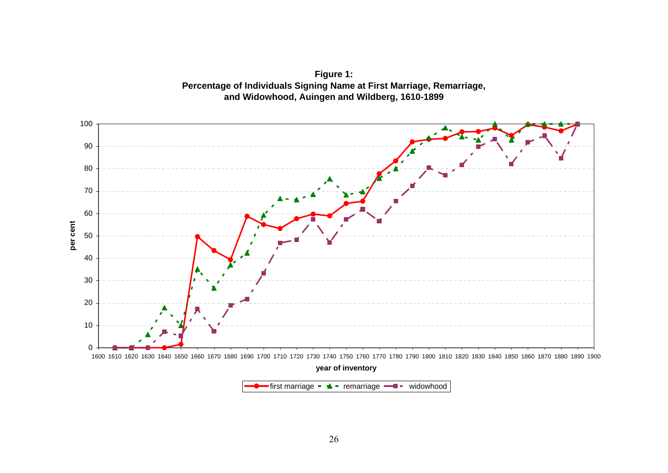

**Figure 1: Percentage of Individuals Signing Name at First Marriage, Remarriage, and Widowhood, Auingen and Wildberg, 1610-1899**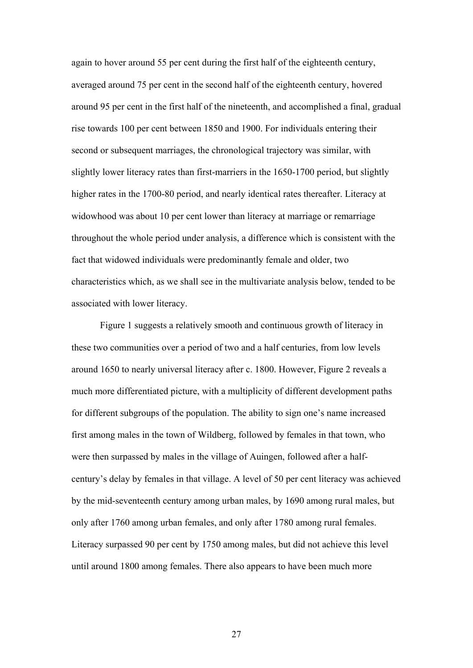again to hover around 55 per cent during the first half of the eighteenth century, averaged around 75 per cent in the second half of the eighteenth century, hovered around 95 per cent in the first half of the nineteenth, and accomplished a final, gradual rise towards 100 per cent between 1850 and 1900. For individuals entering their second or subsequent marriages, the chronological trajectory was similar, with slightly lower literacy rates than first-marriers in the 1650-1700 period, but slightly higher rates in the 1700-80 period, and nearly identical rates thereafter. Literacy at widowhood was about 10 per cent lower than literacy at marriage or remarriage throughout the whole period under analysis, a difference which is consistent with the fact that widowed individuals were predominantly female and older, two characteristics which, as we shall see in the multivariate analysis below, tended to be associated with lower literacy.

Figure 1 suggests a relatively smooth and continuous growth of literacy in these two communities over a period of two and a half centuries, from low levels around 1650 to nearly universal literacy after c. 1800. However, Figure 2 reveals a much more differentiated picture, with a multiplicity of different development paths for different subgroups of the population. The ability to sign one's name increased first among males in the town of Wildberg, followed by females in that town, who were then surpassed by males in the village of Auingen, followed after a halfcentury's delay by females in that village. A level of 50 per cent literacy was achieved by the mid-seventeenth century among urban males, by 1690 among rural males, but only after 1760 among urban females, and only after 1780 among rural females. Literacy surpassed 90 per cent by 1750 among males, but did not achieve this level until around 1800 among females. There also appears to have been much more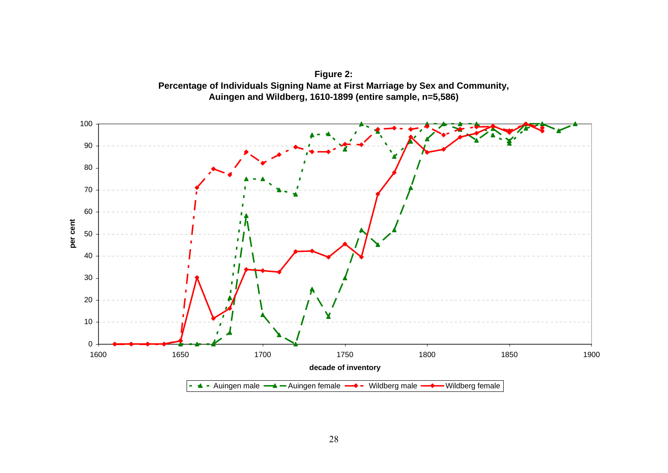

**Figure 2: Percentage of Individuals Signing Name at First Marriage by Sex and Community, Auingen and Wildberg, 1610-1899 (entire sample, n=5,586)**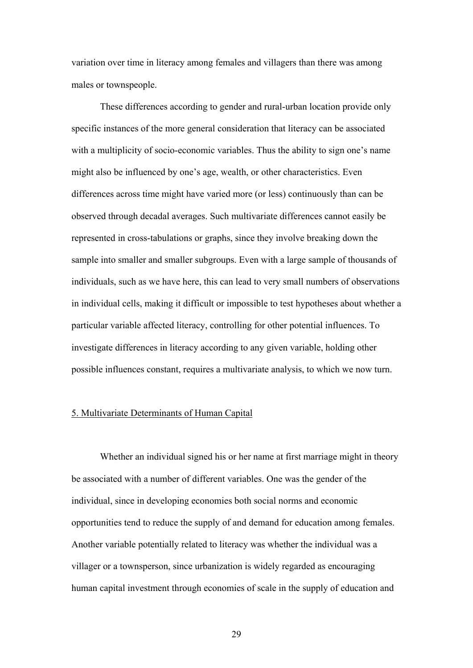variation over time in literacy among females and villagers than there was among males or townspeople.

These differences according to gender and rural-urban location provide only specific instances of the more general consideration that literacy can be associated with a multiplicity of socio-economic variables. Thus the ability to sign one's name might also be influenced by one's age, wealth, or other characteristics. Even differences across time might have varied more (or less) continuously than can be observed through decadal averages. Such multivariate differences cannot easily be represented in cross-tabulations or graphs, since they involve breaking down the sample into smaller and smaller subgroups. Even with a large sample of thousands of individuals, such as we have here, this can lead to very small numbers of observations in individual cells, making it difficult or impossible to test hypotheses about whether a particular variable affected literacy, controlling for other potential influences. To investigate differences in literacy according to any given variable, holding other possible influences constant, requires a multivariate analysis, to which we now turn.

#### 5. Multivariate Determinants of Human Capital

Whether an individual signed his or her name at first marriage might in theory be associated with a number of different variables. One was the gender of the individual, since in developing economies both social norms and economic opportunities tend to reduce the supply of and demand for education among females. Another variable potentially related to literacy was whether the individual was a villager or a townsperson, since urbanization is widely regarded as encouraging human capital investment through economies of scale in the supply of education and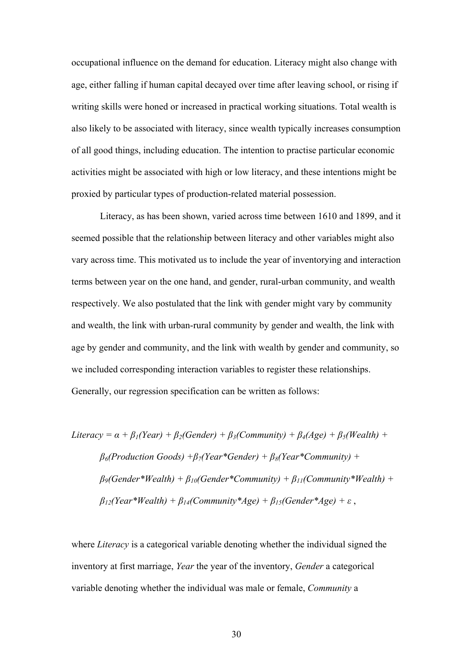occupational influence on the demand for education. Literacy might also change with age, either falling if human capital decayed over time after leaving school, or rising if writing skills were honed or increased in practical working situations. Total wealth is also likely to be associated with literacy, since wealth typically increases consumption of all good things, including education. The intention to practise particular economic activities might be associated with high or low literacy, and these intentions might be proxied by particular types of production-related material possession.

Literacy, as has been shown, varied across time between 1610 and 1899, and it seemed possible that the relationship between literacy and other variables might also vary across time. This motivated us to include the year of inventorying and interaction terms between year on the one hand, and gender, rural-urban community, and wealth respectively. We also postulated that the link with gender might vary by community and wealth, the link with urban-rural community by gender and wealth, the link with age by gender and community, and the link with wealth by gender and community, so we included corresponding interaction variables to register these relationships. Generally, our regression specification can be written as follows:

\n
$$
Literacy = \alpha + \beta_1 (Year) + \beta_2 (Gender) + \beta_3 (Community) + \beta_4 (Age) + \beta_5 (Wealth) + \beta_6 (Production \,Goods) + \beta_7 (Year*Gender) + \beta_8 (Year*Community) + \beta_9 (Gender*Wealth) + \beta_{10} (Gender*Community) + \beta_{11} (Community*Wealth) + \beta_{12} (Year*Wealth) + \beta_{14} (Community*Age) + \beta_{15} (Gender*Age) + \varepsilon,
$$
\n

where *Literacy* is a categorical variable denoting whether the individual signed the inventory at first marriage, *Year* the year of the inventory, *Gender* a categorical variable denoting whether the individual was male or female, *Community* a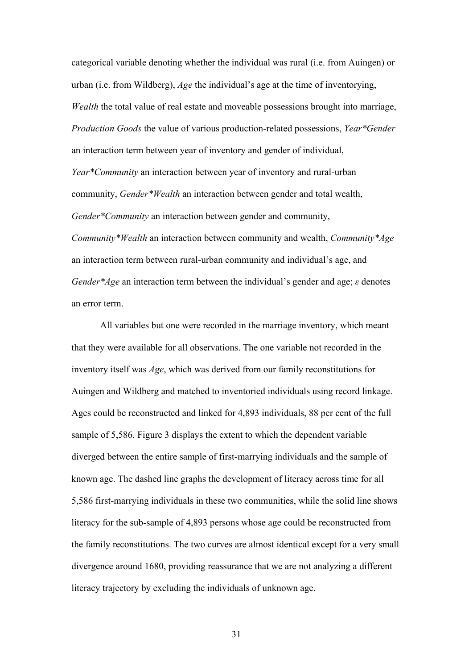categorical variable denoting whether the individual was rural (i.e. from Auingen) or urban (i.e. from Wildberg), *Age* the individual's age at the time of inventorying, *Wealth* the total value of real estate and moveable possessions brought into marriage, *Production Goods* the value of various production-related possessions, *Year\*Gender* an interaction term between year of inventory and gender of individual, *Year\*Community* an interaction between year of inventory and rural-urban community, *Gender\*Wealth* an interaction between gender and total wealth, *Gender\*Community* an interaction between gender and community, *Community\*Wealth* an interaction between community and wealth, *Community\*Age* an interaction term between rural-urban community and individual's age, and *Gender\*Age* an interaction term between the individual's gender and age; *ε* denotes an error term.

All variables but one were recorded in the marriage inventory, which meant that they were available for all observations. The one variable not recorded in the inventory itself was *Age*, which was derived from our family reconstitutions for Auingen and Wildberg and matched to inventoried individuals using record linkage. Ages could be reconstructed and linked for 4,893 individuals, 88 per cent of the full sample of 5,586. Figure 3 displays the extent to which the dependent variable diverged between the entire sample of first-marrying individuals and the sample of known age. The dashed line graphs the development of literacy across time for all 5,586 first-marrying individuals in these two communities, while the solid line shows literacy for the sub-sample of 4,893 persons whose age could be reconstructed from the family reconstitutions. The two curves are almost identical except for a very small divergence around 1680, providing reassurance that we are not analyzing a different literacy trajectory by excluding the individuals of unknown age.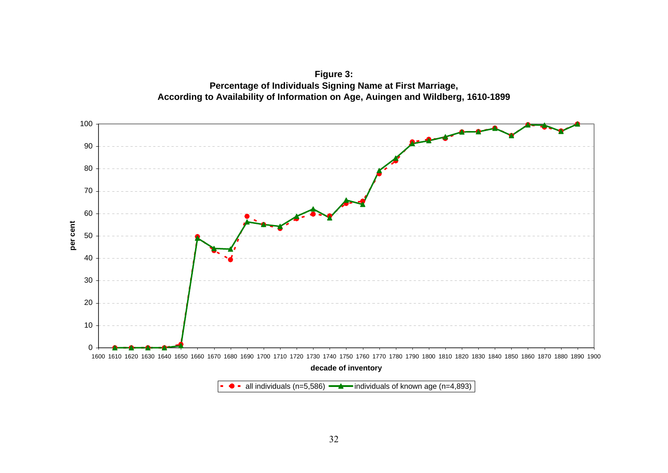

**Figure 3: Percentage of Individuals Signing Name at First Marriage, According to Availability of Information on Age, Auingen and Wildberg, 1610-1899**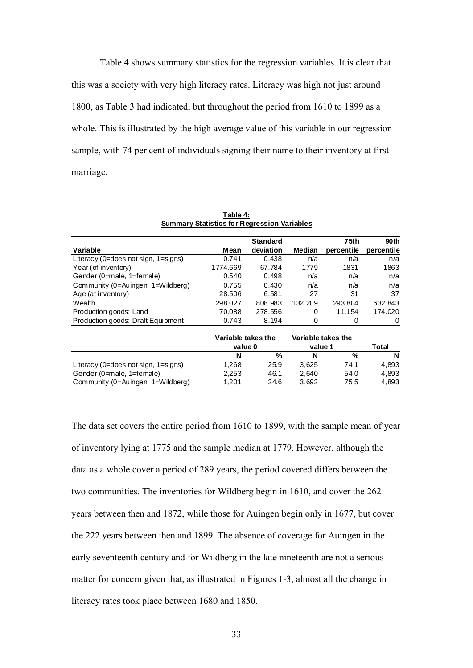Table 4 shows summary statistics for the regression variables. It is clear that this was a society with very high literacy rates. Literacy was high not just around 1800, as Table 3 had indicated, but throughout the period from 1610 to 1899 as a whole. This is illustrated by the high average value of this variable in our regression sample, with 74 per cent of individuals signing their name to their inventory at first marriage.

| $-$                                      |                    |                 |                    |            |                  |  |
|------------------------------------------|--------------------|-----------------|--------------------|------------|------------------|--|
|                                          |                    | <b>Standard</b> |                    | 75th       | 90 <sub>th</sub> |  |
| Variable                                 | Mean               | deviation       | Median             | percentile | percentile       |  |
| Literacy (0=does not sign, $1 = signs$ ) | 0.741              | 0.438           | n/a                | n/a        | n/a              |  |
| Year (of inventory)                      | 1774.669           | 67.784          | 1779               | 1831       | 1863             |  |
| Gender (0=male, 1=female)                | 0.540              | 0.498           | n/a                | n/a        | n/a              |  |
| Community (0=Auingen, 1=Wildberg)        | 0.755              | 0.430           | n/a                | n/a        | n/a              |  |
| Age (at inventory)                       | 28.506             | 6.581           | 27                 | 31         | 37               |  |
| Wealth                                   | 298.027            | 808.983         | 132.209            | 293.804    | 632.843          |  |
| Production goods: Land                   | 70.088             | 278.556         | 0                  | 11.154     | 174.020          |  |
| Production goods: Draft Equipment        | 0.743              | 8.194           | 0                  | 0          | 0                |  |
|                                          | Variable takes the |                 | Variable takes the |            |                  |  |
|                                          |                    | value 0         |                    | value 1    |                  |  |
|                                          | N                  | %               | N                  | %          | N                |  |
| Literacy (0=does not sign, $1 = signs$ ) | 1,268              | 25.9            | 3,625              | 74.1       | 4,893            |  |
| Gender (0=male, 1=female)                | 2,253              | 46.1            | 2,640              | 54.0       | 4,893            |  |
| Community (0=Auingen, 1=Wildberg)        | 1,201              | 24.6            | 3,692              | 75.5       | 4,893            |  |

**Table 4: Summary Statistics for Regression Variables**

The data set covers the entire period from 1610 to 1899, with the sample mean of year of inventory lying at 1775 and the sample median at 1779. However, although the data as a whole cover a period of 289 years, the period covered differs between the two communities. The inventories for Wildberg begin in 1610, and cover the 262 years between then and 1872, while those for Auingen begin only in 1677, but cover the 222 years between then and 1899. The absence of coverage for Auingen in the early seventeenth century and for Wildberg in the late nineteenth are not a serious matter for concern given that, as illustrated in Figures 1-3, almost all the change in literacy rates took place between 1680 and 1850.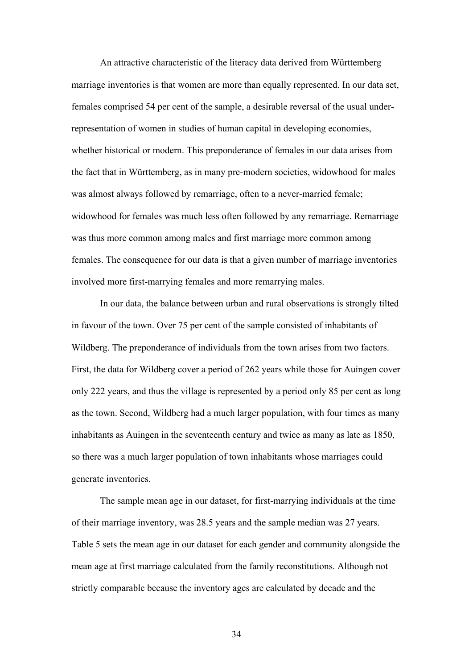An attractive characteristic of the literacy data derived from Württemberg marriage inventories is that women are more than equally represented. In our data set, females comprised 54 per cent of the sample, a desirable reversal of the usual underrepresentation of women in studies of human capital in developing economies, whether historical or modern. This preponderance of females in our data arises from the fact that in Württemberg, as in many pre-modern societies, widowhood for males was almost always followed by remarriage, often to a never-married female; widowhood for females was much less often followed by any remarriage. Remarriage was thus more common among males and first marriage more common among females. The consequence for our data is that a given number of marriage inventories involved more first-marrying females and more remarrying males.

In our data, the balance between urban and rural observations is strongly tilted in favour of the town. Over 75 per cent of the sample consisted of inhabitants of Wildberg. The preponderance of individuals from the town arises from two factors. First, the data for Wildberg cover a period of 262 years while those for Auingen cover only 222 years, and thus the village is represented by a period only 85 per cent as long as the town. Second, Wildberg had a much larger population, with four times as many inhabitants as Auingen in the seventeenth century and twice as many as late as 1850, so there was a much larger population of town inhabitants whose marriages could generate inventories.

The sample mean age in our dataset, for first-marrying individuals at the time of their marriage inventory, was 28.5 years and the sample median was 27 years. Table 5 sets the mean age in our dataset for each gender and community alongside the mean age at first marriage calculated from the family reconstitutions. Although not strictly comparable because the inventory ages are calculated by decade and the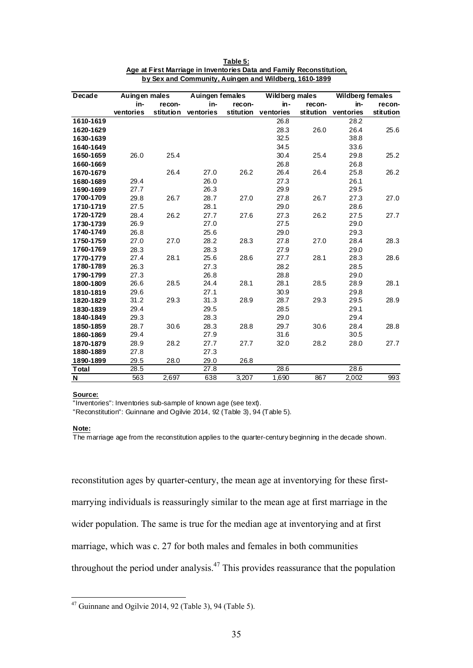| Decade                  | Auingen males |           | Auingen females |           | Wildberg males |           | <b>Wildberg females</b> |           |
|-------------------------|---------------|-----------|-----------------|-----------|----------------|-----------|-------------------------|-----------|
|                         | in-           | recon-    | in-             | recon-    | in-            | recon-    | in-                     | recon-    |
|                         | ventories     | stitution | ventories       | stitution | ventories      | stitution | ventories               | stitution |
| 1610-1619               |               |           |                 |           | 26.8           |           | 28.2                    |           |
| 1620-1629               |               |           |                 |           | 28.3           | 26.0      | 26.4                    | 25.6      |
| 1630-1639               |               |           |                 |           | 32.5           |           | 38.8                    |           |
| 1640-1649               |               |           |                 |           | 34.5           |           | 33.6                    |           |
| 1650-1659               | 26.0          | 25.4      |                 |           | 30.4           | 25.4      | 29.8                    | 25.2      |
| 1660-1669               |               |           |                 |           | 26.8           |           | 26.8                    |           |
| 1670-1679               |               | 26.4      | 27.0            | 26.2      | 26.4           | 26.4      | 25.8                    | 26.2      |
| 1680-1689               | 29.4          |           | 26.0            |           | 27.3           |           | 26.1                    |           |
| 1690-1699               | 27.7          |           | 26.3            |           | 29.9           |           | 29.5                    |           |
| 1700-1709               | 29.8          | 26.7      | 28.7            | 27.0      | 27.8           | 26.7      | 27.3                    | 27.0      |
| 1710-1719               | 27.5          |           | 28.1            |           | 29.0           |           | 28.6                    |           |
| 1720-1729               | 28.4          | 26.2      | 27.7            | 27.6      | 27.3           | 26.2      | 27.5                    | 27.7      |
| 1730-1739               | 26.9          |           | 27.0            |           | 27.5           |           | 29.0                    |           |
| 1740-1749               | 26.8          |           | 25.6            |           | 29.0           |           | 29.3                    |           |
| 1750-1759               | 27.0          | 27.0      | 28.2            | 28.3      | 27.8           | 27.0      | 28.4                    | 28.3      |
| 1760-1769               | 28.3          |           | 28.3            |           | 27.9           |           | 29.0                    |           |
| 1770-1779               | 27.4          | 28.1      | 25.6            | 28.6      | 27.7           | 28.1      | 28.3                    | 28.6      |
| 1780-1789               | 26.3          |           | 27.3            |           | 28.2           |           | 28.5                    |           |
| 1790-1799               | 27.3          |           | 26.8            |           | 28.8           |           | 29.0                    |           |
| 1800-1809               | 26.6          | 28.5      | 24.4            | 28.1      | 28.1           | 28.5      | 28.9                    | 28.1      |
| 1810-1819               | 29.6          |           | 27.1            |           | 30.9           |           | 29.8                    |           |
| 1820-1829               | 31.2          | 29.3      | 31.3            | 28.9      | 28.7           | 29.3      | 29.5                    | 28.9      |
| 1830-1839               | 29.4          |           | 29.5            |           | 28.5           |           | 29.1                    |           |
| 1840-1849               | 29.3          |           | 28.3            |           | 29.0           |           | 29.4                    |           |
| 1850-1859               | 28.7          | 30.6      | 28.3            | 28.8      | 29.7           | 30.6      | 28.4                    | 28.8      |
| 1860-1869               | 29.4          |           | 27.9            |           | 31.6           |           | 30.5                    |           |
| 1870-1879               | 28.9          | 28.2      | 27.7            | 27.7      | 32.0           | 28.2      | 28.0                    | 27.7      |
| 1880-1889               | 27.8          |           | 27.3            |           |                |           |                         |           |
| 1890-1899               | 29.5          | 28.0      | 29.0            | 26.8      |                |           |                         |           |
| Total                   | 28.5          |           | 27.8            |           | 28.6           |           | 28.6                    |           |
| $\overline{\mathsf{N}}$ | 563           | 2,697     | 638             | 3,207     | 1,690          | 867       | 2,002                   | 993       |

**Table 5: Age at First Marriage in Inventories Data and Family Reconstitution, by Sex and Community, Auingen and Wildberg, 1610-1899**

#### **Source:**

"Inventories": Inventories sub-sample of known age (see text).

"Reconstitution": Guinnane and Ogilvie 2014, 92 (Table 3), 94 (Table 5).

#### **Note:**

1

The marriage age from the reconstitution applies to the quarter-century beginning in the decade shown.

reconstitution ages by quarter-century, the mean age at inventorying for these firstmarrying individuals is reassuringly similar to the mean age at first marriage in the wider population. The same is true for the median age at inventorying and at first marriage, which was c. 27 for both males and females in both communities throughout the period under analysis.47 This provides reassurance that the population

 $47$  Guinnane and Ogilvie 2014, 92 (Table 3), 94 (Table 5).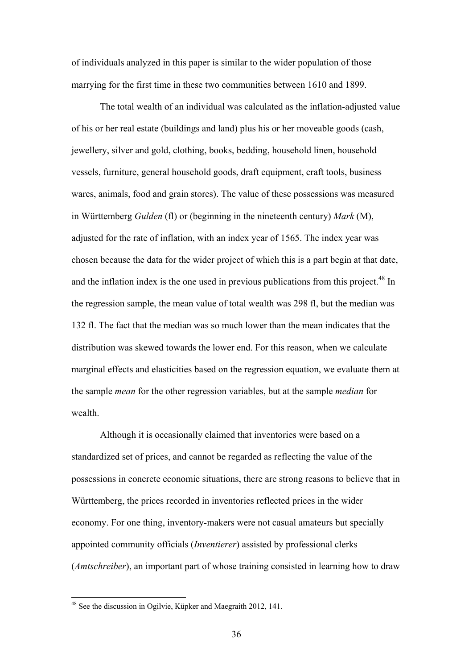of individuals analyzed in this paper is similar to the wider population of those marrying for the first time in these two communities between 1610 and 1899.

The total wealth of an individual was calculated as the inflation-adjusted value of his or her real estate (buildings and land) plus his or her moveable goods (cash, jewellery, silver and gold, clothing, books, bedding, household linen, household vessels, furniture, general household goods, draft equipment, craft tools, business wares, animals, food and grain stores). The value of these possessions was measured in Württemberg *Gulden* (fl) or (beginning in the nineteenth century) *Mark* (M), adjusted for the rate of inflation, with an index year of 1565. The index year was chosen because the data for the wider project of which this is a part begin at that date, and the inflation index is the one used in previous publications from this project.<sup>48</sup> In the regression sample, the mean value of total wealth was 298 fl, but the median was 132 fl. The fact that the median was so much lower than the mean indicates that the distribution was skewed towards the lower end. For this reason, when we calculate marginal effects and elasticities based on the regression equation, we evaluate them at the sample *mean* for the other regression variables, but at the sample *median* for wealth.

Although it is occasionally claimed that inventories were based on a standardized set of prices, and cannot be regarded as reflecting the value of the possessions in concrete economic situations, there are strong reasons to believe that in Württemberg, the prices recorded in inventories reflected prices in the wider economy. For one thing, inventory-makers were not casual amateurs but specially appointed community officials (*Inventierer*) assisted by professional clerks (*Amtschreiber*), an important part of whose training consisted in learning how to draw

<sup>&</sup>lt;sup>48</sup> See the discussion in Ogilvie, Küpker and Maegraith 2012, 141.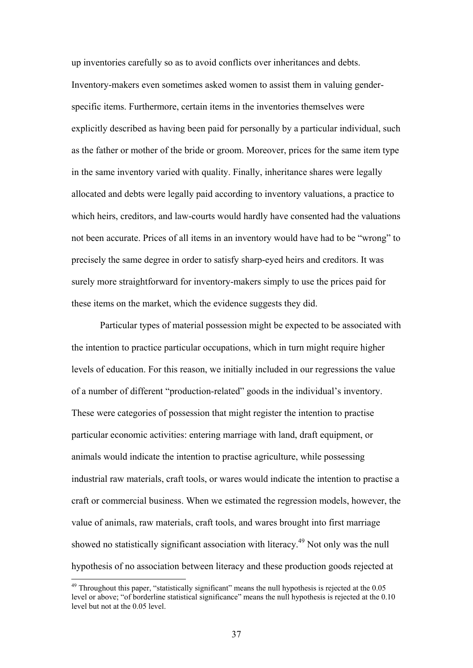up inventories carefully so as to avoid conflicts over inheritances and debts. Inventory-makers even sometimes asked women to assist them in valuing genderspecific items. Furthermore, certain items in the inventories themselves were explicitly described as having been paid for personally by a particular individual, such as the father or mother of the bride or groom. Moreover, prices for the same item type in the same inventory varied with quality. Finally, inheritance shares were legally allocated and debts were legally paid according to inventory valuations, a practice to which heirs, creditors, and law-courts would hardly have consented had the valuations not been accurate. Prices of all items in an inventory would have had to be "wrong" to precisely the same degree in order to satisfy sharp-eyed heirs and creditors. It was surely more straightforward for inventory-makers simply to use the prices paid for these items on the market, which the evidence suggests they did.

Particular types of material possession might be expected to be associated with the intention to practice particular occupations, which in turn might require higher levels of education. For this reason, we initially included in our regressions the value of a number of different "production-related" goods in the individual's inventory. These were categories of possession that might register the intention to practise particular economic activities: entering marriage with land, draft equipment, or animals would indicate the intention to practise agriculture, while possessing industrial raw materials, craft tools, or wares would indicate the intention to practise a craft or commercial business. When we estimated the regression models, however, the value of animals, raw materials, craft tools, and wares brought into first marriage showed no statistically significant association with literacy.<sup>49</sup> Not only was the null hypothesis of no association between literacy and these production goods rejected at

 $49$  Throughout this paper, "statistically significant" means the null hypothesis is rejected at the 0.05 level or above; "of borderline statistical significance" means the null hypothesis is rejected at the 0.10 level but not at the 0.05 level.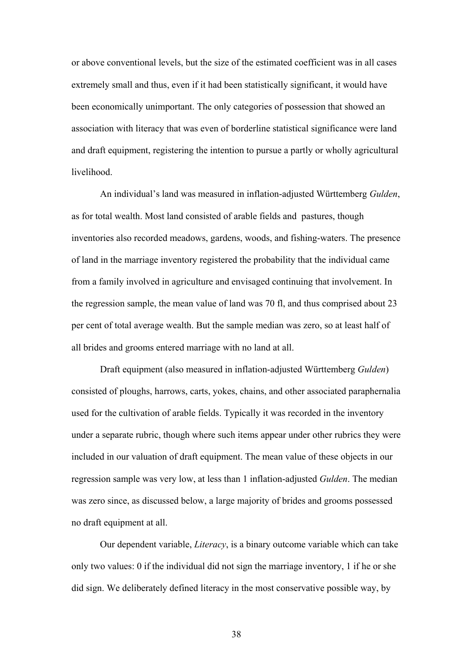or above conventional levels, but the size of the estimated coefficient was in all cases extremely small and thus, even if it had been statistically significant, it would have been economically unimportant. The only categories of possession that showed an association with literacy that was even of borderline statistical significance were land and draft equipment, registering the intention to pursue a partly or wholly agricultural livelihood.

An individual's land was measured in inflation-adjusted Württemberg *Gulden*, as for total wealth. Most land consisted of arable fields and pastures, though inventories also recorded meadows, gardens, woods, and fishing-waters. The presence of land in the marriage inventory registered the probability that the individual came from a family involved in agriculture and envisaged continuing that involvement. In the regression sample, the mean value of land was 70 fl, and thus comprised about 23 per cent of total average wealth. But the sample median was zero, so at least half of all brides and grooms entered marriage with no land at all.

Draft equipment (also measured in inflation-adjusted Württemberg *Gulden*) consisted of ploughs, harrows, carts, yokes, chains, and other associated paraphernalia used for the cultivation of arable fields. Typically it was recorded in the inventory under a separate rubric, though where such items appear under other rubrics they were included in our valuation of draft equipment. The mean value of these objects in our regression sample was very low, at less than 1 inflation-adjusted *Gulden*. The median was zero since, as discussed below, a large majority of brides and grooms possessed no draft equipment at all.

Our dependent variable, *Literacy*, is a binary outcome variable which can take only two values: 0 if the individual did not sign the marriage inventory, 1 if he or she did sign. We deliberately defined literacy in the most conservative possible way, by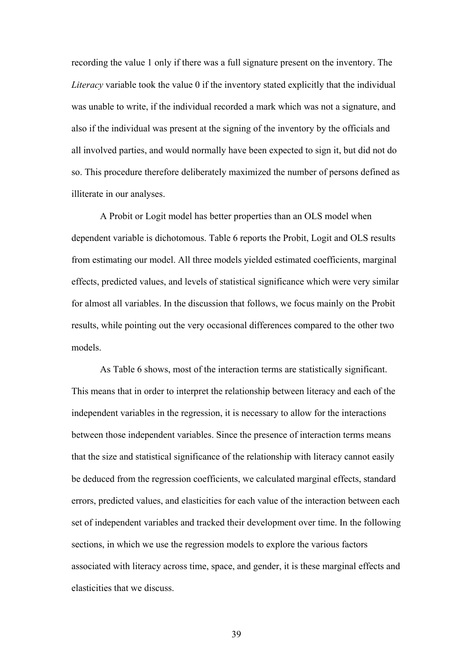recording the value 1 only if there was a full signature present on the inventory. The *Literacy* variable took the value 0 if the inventory stated explicitly that the individual was unable to write, if the individual recorded a mark which was not a signature, and also if the individual was present at the signing of the inventory by the officials and all involved parties, and would normally have been expected to sign it, but did not do so. This procedure therefore deliberately maximized the number of persons defined as illiterate in our analyses.

A Probit or Logit model has better properties than an OLS model when dependent variable is dichotomous. Table 6 reports the Probit, Logit and OLS results from estimating our model. All three models yielded estimated coefficients, marginal effects, predicted values, and levels of statistical significance which were very similar for almost all variables. In the discussion that follows, we focus mainly on the Probit results, while pointing out the very occasional differences compared to the other two models.

As Table 6 shows, most of the interaction terms are statistically significant. This means that in order to interpret the relationship between literacy and each of the independent variables in the regression, it is necessary to allow for the interactions between those independent variables. Since the presence of interaction terms means that the size and statistical significance of the relationship with literacy cannot easily be deduced from the regression coefficients, we calculated marginal effects, standard errors, predicted values, and elasticities for each value of the interaction between each set of independent variables and tracked their development over time. In the following sections, in which we use the regression models to explore the various factors associated with literacy across time, space, and gender, it is these marginal effects and elasticities that we discuss.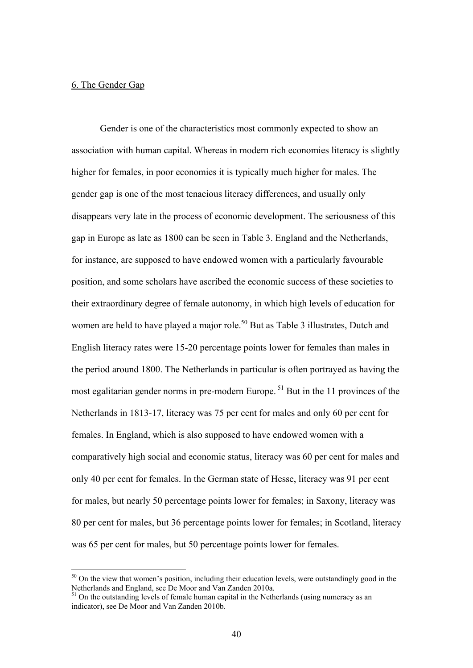#### 6. The Gender Gap

1

Gender is one of the characteristics most commonly expected to show an association with human capital. Whereas in modern rich economies literacy is slightly higher for females, in poor economies it is typically much higher for males. The gender gap is one of the most tenacious literacy differences, and usually only disappears very late in the process of economic development. The seriousness of this gap in Europe as late as 1800 can be seen in Table 3. England and the Netherlands, for instance, are supposed to have endowed women with a particularly favourable position, and some scholars have ascribed the economic success of these societies to their extraordinary degree of female autonomy, in which high levels of education for women are held to have played a major role.<sup>50</sup> But as Table 3 illustrates, Dutch and English literacy rates were 15-20 percentage points lower for females than males in the period around 1800. The Netherlands in particular is often portrayed as having the most egalitarian gender norms in pre-modern Europe.<sup>51</sup> But in the 11 provinces of the Netherlands in 1813-17, literacy was 75 per cent for males and only 60 per cent for females. In England, which is also supposed to have endowed women with a comparatively high social and economic status, literacy was 60 per cent for males and only 40 per cent for females. In the German state of Hesse, literacy was 91 per cent for males, but nearly 50 percentage points lower for females; in Saxony, literacy was 80 per cent for males, but 36 percentage points lower for females; in Scotland, literacy was 65 per cent for males, but 50 percentage points lower for females.

<sup>&</sup>lt;sup>50</sup> On the view that women's position, including their education levels, were outstandingly good in the Netherlands and England, see De Moor and Van Zanden 2010a.

<sup>&</sup>lt;sup>51</sup> On the outstanding levels of female human capital in the Netherlands (using numeracy as an indicator), see De Moor and Van Zanden 2010b.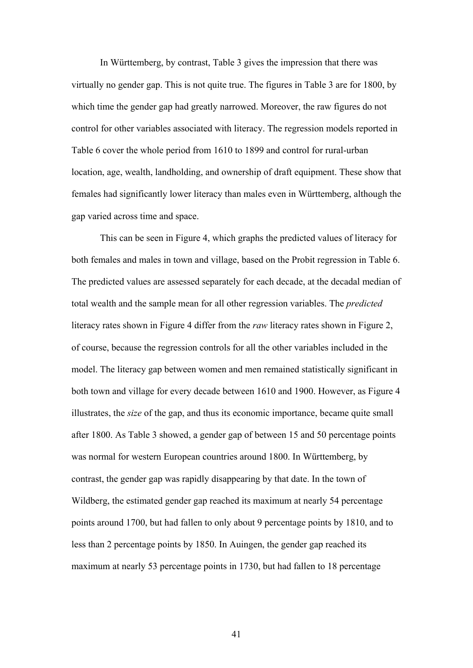In Württemberg, by contrast, Table 3 gives the impression that there was virtually no gender gap. This is not quite true. The figures in Table 3 are for 1800, by which time the gender gap had greatly narrowed. Moreover, the raw figures do not control for other variables associated with literacy. The regression models reported in Table 6 cover the whole period from 1610 to 1899 and control for rural-urban location, age, wealth, landholding, and ownership of draft equipment. These show that females had significantly lower literacy than males even in Württemberg, although the gap varied across time and space.

This can be seen in Figure 4, which graphs the predicted values of literacy for both females and males in town and village, based on the Probit regression in Table 6. The predicted values are assessed separately for each decade, at the decadal median of total wealth and the sample mean for all other regression variables. The *predicted* literacy rates shown in Figure 4 differ from the *raw* literacy rates shown in Figure 2, of course, because the regression controls for all the other variables included in the model. The literacy gap between women and men remained statistically significant in both town and village for every decade between 1610 and 1900. However, as Figure 4 illustrates, the *size* of the gap, and thus its economic importance, became quite small after 1800. As Table 3 showed, a gender gap of between 15 and 50 percentage points was normal for western European countries around 1800. In Württemberg, by contrast, the gender gap was rapidly disappearing by that date. In the town of Wildberg, the estimated gender gap reached its maximum at nearly 54 percentage points around 1700, but had fallen to only about 9 percentage points by 1810, and to less than 2 percentage points by 1850. In Auingen, the gender gap reached its maximum at nearly 53 percentage points in 1730, but had fallen to 18 percentage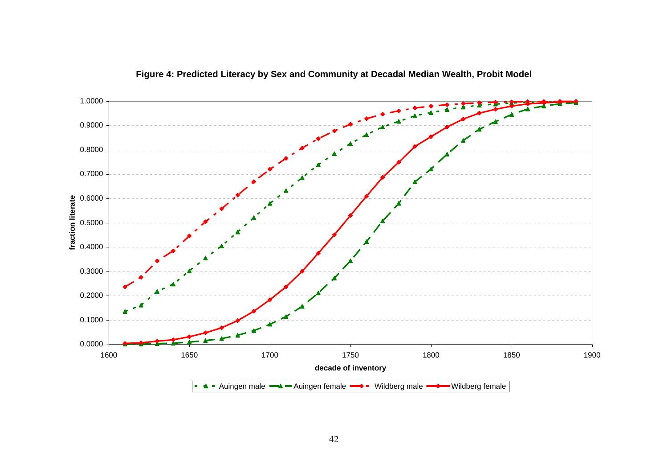

**Figure 4: Predicted Literacy by Sex and Community at Decadal Median Wealth, Probit Model**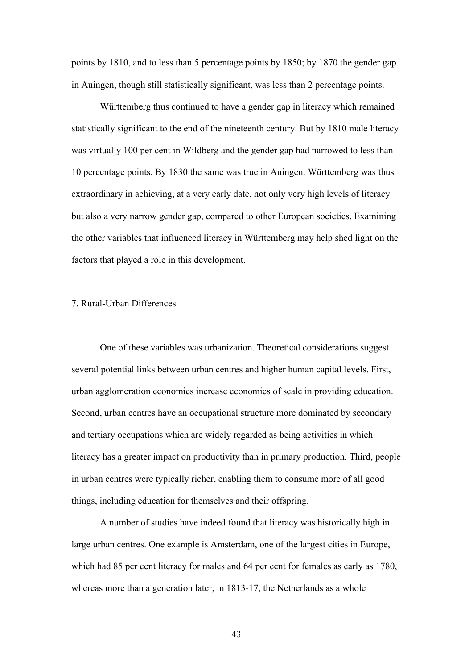points by 1810, and to less than 5 percentage points by 1850; by 1870 the gender gap in Auingen, though still statistically significant, was less than 2 percentage points.

Württemberg thus continued to have a gender gap in literacy which remained statistically significant to the end of the nineteenth century. But by 1810 male literacy was virtually 100 per cent in Wildberg and the gender gap had narrowed to less than 10 percentage points. By 1830 the same was true in Auingen. Württemberg was thus extraordinary in achieving, at a very early date, not only very high levels of literacy but also a very narrow gender gap, compared to other European societies. Examining the other variables that influenced literacy in Württemberg may help shed light on the factors that played a role in this development.

#### 7. Rural-Urban Differences

One of these variables was urbanization. Theoretical considerations suggest several potential links between urban centres and higher human capital levels. First, urban agglomeration economies increase economies of scale in providing education. Second, urban centres have an occupational structure more dominated by secondary and tertiary occupations which are widely regarded as being activities in which literacy has a greater impact on productivity than in primary production. Third, people in urban centres were typically richer, enabling them to consume more of all good things, including education for themselves and their offspring.

A number of studies have indeed found that literacy was historically high in large urban centres. One example is Amsterdam, one of the largest cities in Europe, which had 85 per cent literacy for males and 64 per cent for females as early as 1780, whereas more than a generation later, in 1813-17, the Netherlands as a whole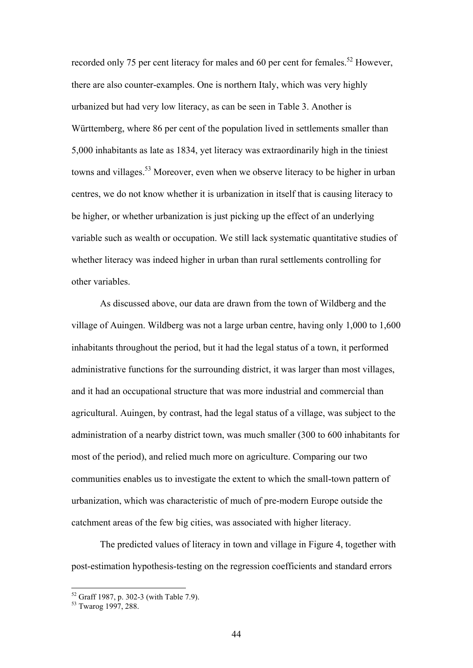recorded only 75 per cent literacy for males and 60 per cent for females.<sup>52</sup> However, there are also counter-examples. One is northern Italy, which was very highly urbanized but had very low literacy, as can be seen in Table 3. Another is Württemberg, where 86 per cent of the population lived in settlements smaller than 5,000 inhabitants as late as 1834, yet literacy was extraordinarily high in the tiniest towns and villages.53 Moreover, even when we observe literacy to be higher in urban centres, we do not know whether it is urbanization in itself that is causing literacy to be higher, or whether urbanization is just picking up the effect of an underlying variable such as wealth or occupation. We still lack systematic quantitative studies of whether literacy was indeed higher in urban than rural settlements controlling for other variables.

As discussed above, our data are drawn from the town of Wildberg and the village of Auingen. Wildberg was not a large urban centre, having only 1,000 to 1,600 inhabitants throughout the period, but it had the legal status of a town, it performed administrative functions for the surrounding district, it was larger than most villages, and it had an occupational structure that was more industrial and commercial than agricultural. Auingen, by contrast, had the legal status of a village, was subject to the administration of a nearby district town, was much smaller (300 to 600 inhabitants for most of the period), and relied much more on agriculture. Comparing our two communities enables us to investigate the extent to which the small-town pattern of urbanization, which was characteristic of much of pre-modern Europe outside the catchment areas of the few big cities, was associated with higher literacy.

The predicted values of literacy in town and village in Figure 4, together with post-estimation hypothesis-testing on the regression coefficients and standard errors

<u>.</u>

<sup>52</sup> Graff 1987, p. 302-3 (with Table 7.9).

<sup>53</sup> Twarog 1997, 288.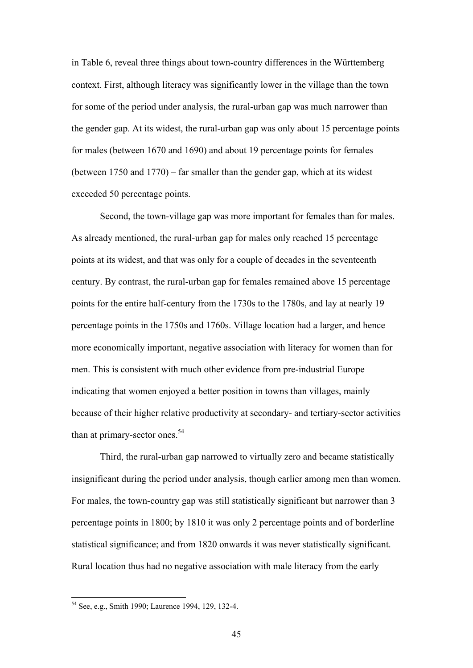in Table 6, reveal three things about town-country differences in the Württemberg context. First, although literacy was significantly lower in the village than the town for some of the period under analysis, the rural-urban gap was much narrower than the gender gap. At its widest, the rural-urban gap was only about 15 percentage points for males (between 1670 and 1690) and about 19 percentage points for females (between 1750 and 1770) – far smaller than the gender gap, which at its widest exceeded 50 percentage points.

Second, the town-village gap was more important for females than for males. As already mentioned, the rural-urban gap for males only reached 15 percentage points at its widest, and that was only for a couple of decades in the seventeenth century. By contrast, the rural-urban gap for females remained above 15 percentage points for the entire half-century from the 1730s to the 1780s, and lay at nearly 19 percentage points in the 1750s and 1760s. Village location had a larger, and hence more economically important, negative association with literacy for women than for men. This is consistent with much other evidence from pre-industrial Europe indicating that women enjoyed a better position in towns than villages, mainly because of their higher relative productivity at secondary- and tertiary-sector activities than at primary-sector ones. $54$ 

Third, the rural-urban gap narrowed to virtually zero and became statistically insignificant during the period under analysis, though earlier among men than women. For males, the town-country gap was still statistically significant but narrower than 3 percentage points in 1800; by 1810 it was only 2 percentage points and of borderline statistical significance; and from 1820 onwards it was never statistically significant. Rural location thus had no negative association with male literacy from the early

<sup>54</sup> See, e.g., Smith 1990; Laurence 1994, 129, 132-4.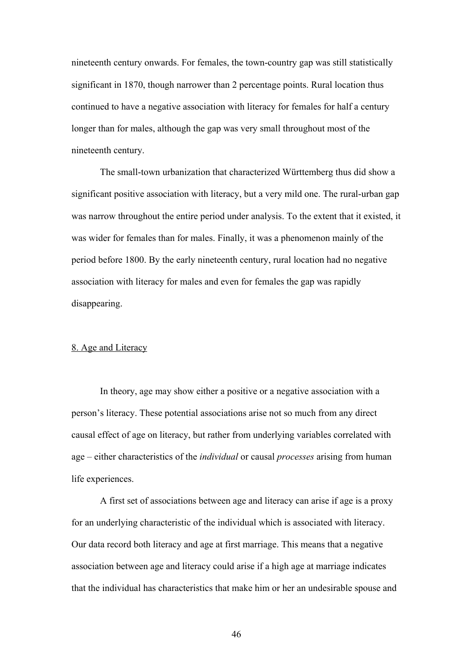nineteenth century onwards. For females, the town-country gap was still statistically significant in 1870, though narrower than 2 percentage points. Rural location thus continued to have a negative association with literacy for females for half a century longer than for males, although the gap was very small throughout most of the nineteenth century.

The small-town urbanization that characterized Württemberg thus did show a significant positive association with literacy, but a very mild one. The rural-urban gap was narrow throughout the entire period under analysis. To the extent that it existed, it was wider for females than for males. Finally, it was a phenomenon mainly of the period before 1800. By the early nineteenth century, rural location had no negative association with literacy for males and even for females the gap was rapidly disappearing.

### 8. Age and Literacy

In theory, age may show either a positive or a negative association with a person's literacy. These potential associations arise not so much from any direct causal effect of age on literacy, but rather from underlying variables correlated with age – either characteristics of the *individual* or causal *processes* arising from human life experiences.

A first set of associations between age and literacy can arise if age is a proxy for an underlying characteristic of the individual which is associated with literacy. Our data record both literacy and age at first marriage. This means that a negative association between age and literacy could arise if a high age at marriage indicates that the individual has characteristics that make him or her an undesirable spouse and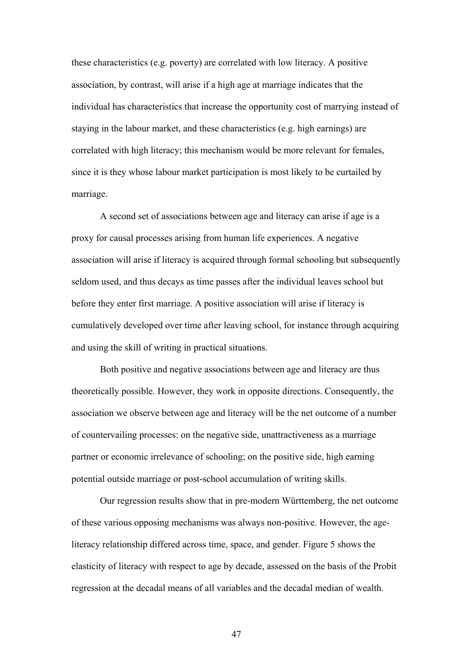these characteristics (e.g. poverty) are correlated with low literacy. A positive association, by contrast, will arise if a high age at marriage indicates that the individual has characteristics that increase the opportunity cost of marrying instead of staying in the labour market, and these characteristics (e.g. high earnings) are correlated with high literacy; this mechanism would be more relevant for females, since it is they whose labour market participation is most likely to be curtailed by marriage.

A second set of associations between age and literacy can arise if age is a proxy for causal processes arising from human life experiences. A negative association will arise if literacy is acquired through formal schooling but subsequently seldom used, and thus decays as time passes after the individual leaves school but before they enter first marriage. A positive association will arise if literacy is cumulatively developed over time after leaving school, for instance through acquiring and using the skill of writing in practical situations.

Both positive and negative associations between age and literacy are thus theoretically possible. However, they work in opposite directions. Consequently, the association we observe between age and literacy will be the net outcome of a number of countervailing processes: on the negative side, unattractiveness as a marriage partner or economic irrelevance of schooling; on the positive side, high earning potential outside marriage or post-school accumulation of writing skills.

Our regression results show that in pre-modern Württemberg, the net outcome of these various opposing mechanisms was always non-positive. However, the ageliteracy relationship differed across time, space, and gender. Figure 5 shows the elasticity of literacy with respect to age by decade, assessed on the basis of the Probit regression at the decadal means of all variables and the decadal median of wealth.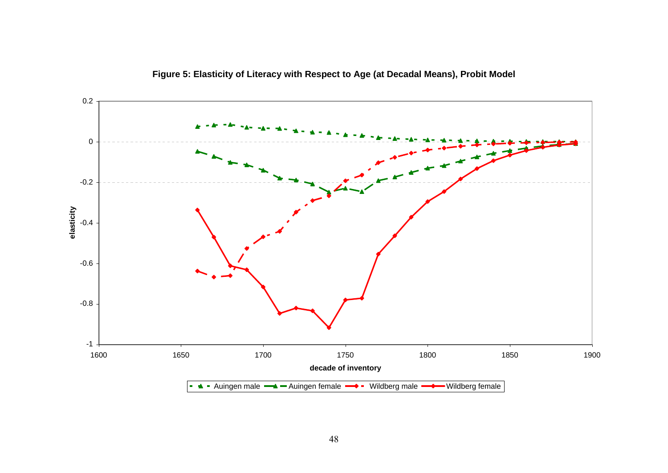

**Figure 5: Elasticity of Literacy with Respect to Age (at Decadal Means), Probit Model**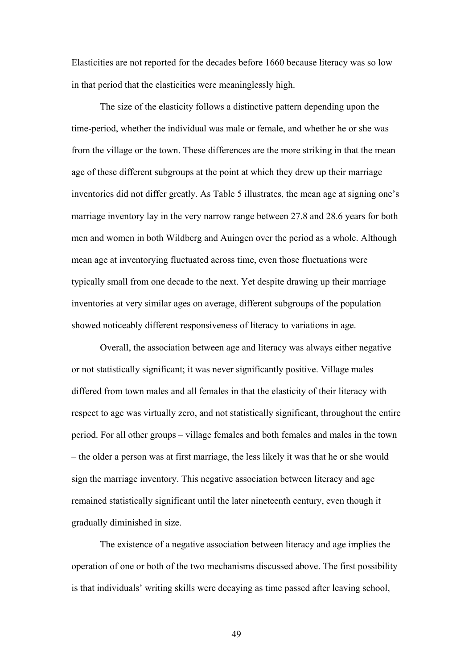Elasticities are not reported for the decades before 1660 because literacy was so low in that period that the elasticities were meaninglessly high.

The size of the elasticity follows a distinctive pattern depending upon the time-period, whether the individual was male or female, and whether he or she was from the village or the town. These differences are the more striking in that the mean age of these different subgroups at the point at which they drew up their marriage inventories did not differ greatly. As Table 5 illustrates, the mean age at signing one's marriage inventory lay in the very narrow range between 27.8 and 28.6 years for both men and women in both Wildberg and Auingen over the period as a whole. Although mean age at inventorying fluctuated across time, even those fluctuations were typically small from one decade to the next. Yet despite drawing up their marriage inventories at very similar ages on average, different subgroups of the population showed noticeably different responsiveness of literacy to variations in age.

Overall, the association between age and literacy was always either negative or not statistically significant; it was never significantly positive. Village males differed from town males and all females in that the elasticity of their literacy with respect to age was virtually zero, and not statistically significant, throughout the entire period. For all other groups – village females and both females and males in the town – the older a person was at first marriage, the less likely it was that he or she would sign the marriage inventory. This negative association between literacy and age remained statistically significant until the later nineteenth century, even though it gradually diminished in size.

The existence of a negative association between literacy and age implies the operation of one or both of the two mechanisms discussed above. The first possibility is that individuals' writing skills were decaying as time passed after leaving school,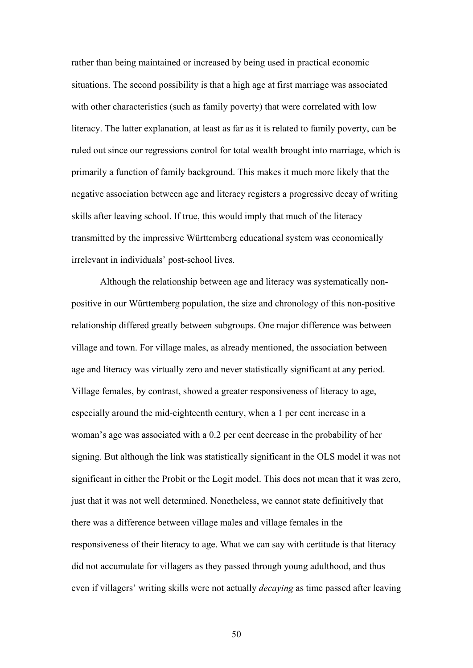rather than being maintained or increased by being used in practical economic situations. The second possibility is that a high age at first marriage was associated with other characteristics (such as family poverty) that were correlated with low literacy. The latter explanation, at least as far as it is related to family poverty, can be ruled out since our regressions control for total wealth brought into marriage, which is primarily a function of family background. This makes it much more likely that the negative association between age and literacy registers a progressive decay of writing skills after leaving school. If true, this would imply that much of the literacy transmitted by the impressive Württemberg educational system was economically irrelevant in individuals' post-school lives.

Although the relationship between age and literacy was systematically nonpositive in our Württemberg population, the size and chronology of this non-positive relationship differed greatly between subgroups. One major difference was between village and town. For village males, as already mentioned, the association between age and literacy was virtually zero and never statistically significant at any period. Village females, by contrast, showed a greater responsiveness of literacy to age, especially around the mid-eighteenth century, when a 1 per cent increase in a woman's age was associated with a 0.2 per cent decrease in the probability of her signing. But although the link was statistically significant in the OLS model it was not significant in either the Probit or the Logit model. This does not mean that it was zero, just that it was not well determined. Nonetheless, we cannot state definitively that there was a difference between village males and village females in the responsiveness of their literacy to age. What we can say with certitude is that literacy did not accumulate for villagers as they passed through young adulthood, and thus even if villagers' writing skills were not actually *decaying* as time passed after leaving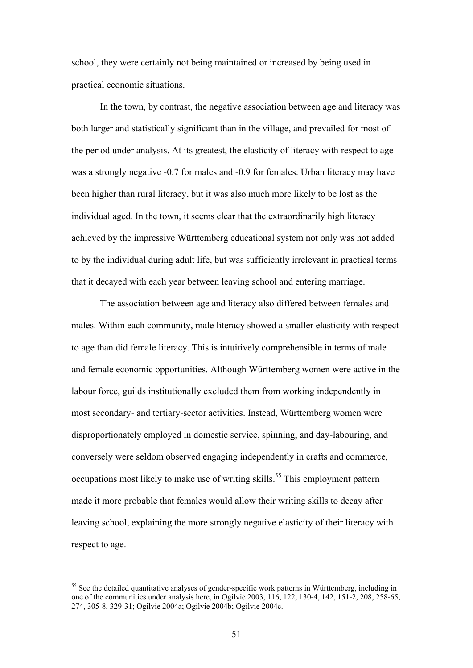school, they were certainly not being maintained or increased by being used in practical economic situations.

In the town, by contrast, the negative association between age and literacy was both larger and statistically significant than in the village, and prevailed for most of the period under analysis. At its greatest, the elasticity of literacy with respect to age was a strongly negative -0.7 for males and -0.9 for females. Urban literacy may have been higher than rural literacy, but it was also much more likely to be lost as the individual aged. In the town, it seems clear that the extraordinarily high literacy achieved by the impressive Württemberg educational system not only was not added to by the individual during adult life, but was sufficiently irrelevant in practical terms that it decayed with each year between leaving school and entering marriage.

The association between age and literacy also differed between females and males. Within each community, male literacy showed a smaller elasticity with respect to age than did female literacy. This is intuitively comprehensible in terms of male and female economic opportunities. Although Württemberg women were active in the labour force, guilds institutionally excluded them from working independently in most secondary- and tertiary-sector activities. Instead, Württemberg women were disproportionately employed in domestic service, spinning, and day-labouring, and conversely were seldom observed engaging independently in crafts and commerce, occupations most likely to make use of writing skills.<sup>55</sup> This employment pattern made it more probable that females would allow their writing skills to decay after leaving school, explaining the more strongly negative elasticity of their literacy with respect to age.

<sup>&</sup>lt;sup>55</sup> See the detailed quantitative analyses of gender-specific work patterns in Württemberg, including in one of the communities under analysis here, in Ogilvie 2003, 116, 122, 130-4, 142, 151-2, 208, 258-65, 274, 305-8, 329-31; Ogilvie 2004a; Ogilvie 2004b; Ogilvie 2004c.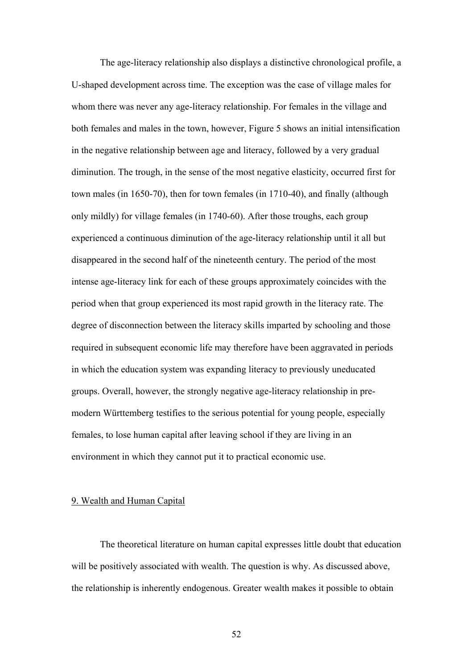The age-literacy relationship also displays a distinctive chronological profile, a U-shaped development across time. The exception was the case of village males for whom there was never any age-literacy relationship. For females in the village and both females and males in the town, however, Figure 5 shows an initial intensification in the negative relationship between age and literacy, followed by a very gradual diminution. The trough, in the sense of the most negative elasticity, occurred first for town males (in 1650-70), then for town females (in 1710-40), and finally (although only mildly) for village females (in 1740-60). After those troughs, each group experienced a continuous diminution of the age-literacy relationship until it all but disappeared in the second half of the nineteenth century. The period of the most intense age-literacy link for each of these groups approximately coincides with the period when that group experienced its most rapid growth in the literacy rate. The degree of disconnection between the literacy skills imparted by schooling and those required in subsequent economic life may therefore have been aggravated in periods in which the education system was expanding literacy to previously uneducated groups. Overall, however, the strongly negative age-literacy relationship in premodern Württemberg testifies to the serious potential for young people, especially females, to lose human capital after leaving school if they are living in an environment in which they cannot put it to practical economic use.

## 9. Wealth and Human Capital

The theoretical literature on human capital expresses little doubt that education will be positively associated with wealth. The question is why. As discussed above, the relationship is inherently endogenous. Greater wealth makes it possible to obtain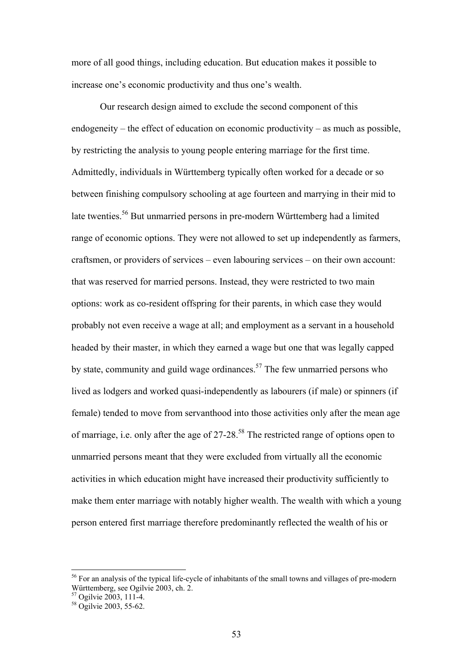more of all good things, including education. But education makes it possible to increase one's economic productivity and thus one's wealth.

Our research design aimed to exclude the second component of this endogeneity – the effect of education on economic productivity – as much as possible, by restricting the analysis to young people entering marriage for the first time. Admittedly, individuals in Württemberg typically often worked for a decade or so between finishing compulsory schooling at age fourteen and marrying in their mid to late twenties.<sup>56</sup> But unmarried persons in pre-modern Württemberg had a limited range of economic options. They were not allowed to set up independently as farmers, craftsmen, or providers of services – even labouring services – on their own account: that was reserved for married persons. Instead, they were restricted to two main options: work as co-resident offspring for their parents, in which case they would probably not even receive a wage at all; and employment as a servant in a household headed by their master, in which they earned a wage but one that was legally capped by state, community and guild wage ordinances.<sup>57</sup> The few unmarried persons who lived as lodgers and worked quasi-independently as labourers (if male) or spinners (if female) tended to move from servanthood into those activities only after the mean age of marriage, i.e. only after the age of 27-28.<sup>58</sup> The restricted range of options open to unmarried persons meant that they were excluded from virtually all the economic activities in which education might have increased their productivity sufficiently to make them enter marriage with notably higher wealth. The wealth with which a young person entered first marriage therefore predominantly reflected the wealth of his or

<sup>&</sup>lt;sup>56</sup> For an analysis of the typical life-cycle of inhabitants of the small towns and villages of pre-modern Württemberg, see Ogilvie 2003, ch. 2.

<sup>57</sup> Ogilvie 2003, 111-4.

<sup>58</sup> Ogilvie 2003, 55-62.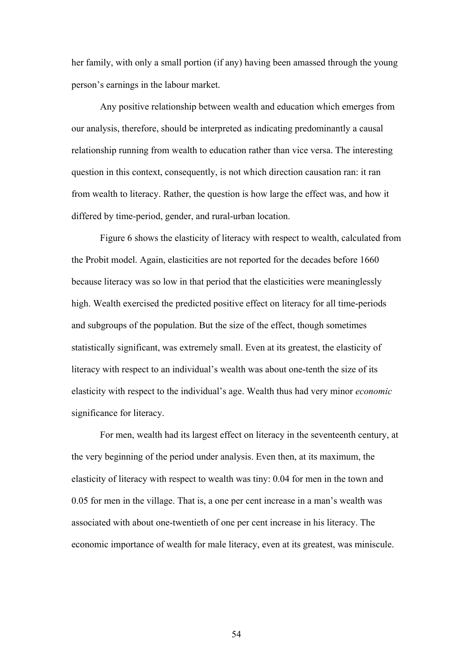her family, with only a small portion (if any) having been amassed through the young person's earnings in the labour market.

Any positive relationship between wealth and education which emerges from our analysis, therefore, should be interpreted as indicating predominantly a causal relationship running from wealth to education rather than vice versa. The interesting question in this context, consequently, is not which direction causation ran: it ran from wealth to literacy. Rather, the question is how large the effect was, and how it differed by time-period, gender, and rural-urban location.

Figure 6 shows the elasticity of literacy with respect to wealth, calculated from the Probit model. Again, elasticities are not reported for the decades before 1660 because literacy was so low in that period that the elasticities were meaninglessly high. Wealth exercised the predicted positive effect on literacy for all time-periods and subgroups of the population. But the size of the effect, though sometimes statistically significant, was extremely small. Even at its greatest, the elasticity of literacy with respect to an individual's wealth was about one-tenth the size of its elasticity with respect to the individual's age. Wealth thus had very minor *economic* significance for literacy.

For men, wealth had its largest effect on literacy in the seventeenth century, at the very beginning of the period under analysis. Even then, at its maximum, the elasticity of literacy with respect to wealth was tiny: 0.04 for men in the town and 0.05 for men in the village. That is, a one per cent increase in a man's wealth was associated with about one-twentieth of one per cent increase in his literacy. The economic importance of wealth for male literacy, even at its greatest, was miniscule.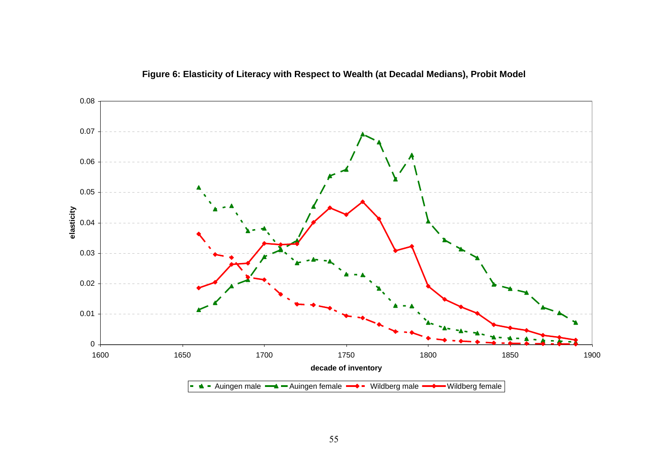

# **Figure 6: Elasticity of Literacy with Respect to Wealth (at Decadal Medians), Probit Model**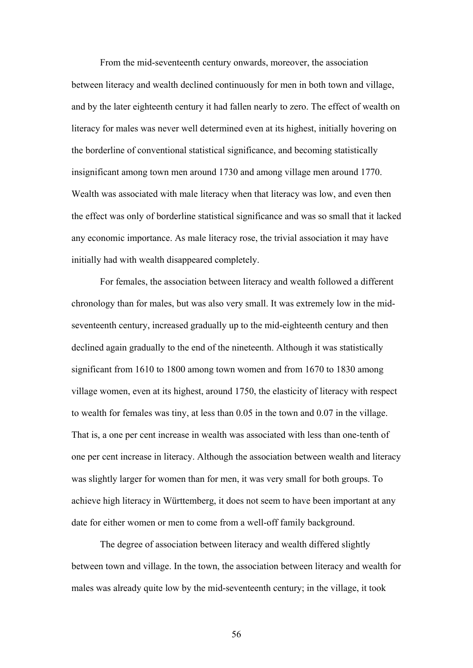From the mid-seventeenth century onwards, moreover, the association between literacy and wealth declined continuously for men in both town and village, and by the later eighteenth century it had fallen nearly to zero. The effect of wealth on literacy for males was never well determined even at its highest, initially hovering on the borderline of conventional statistical significance, and becoming statistically insignificant among town men around 1730 and among village men around 1770. Wealth was associated with male literacy when that literacy was low, and even then the effect was only of borderline statistical significance and was so small that it lacked any economic importance. As male literacy rose, the trivial association it may have initially had with wealth disappeared completely.

For females, the association between literacy and wealth followed a different chronology than for males, but was also very small. It was extremely low in the midseventeenth century, increased gradually up to the mid-eighteenth century and then declined again gradually to the end of the nineteenth. Although it was statistically significant from 1610 to 1800 among town women and from 1670 to 1830 among village women, even at its highest, around 1750, the elasticity of literacy with respect to wealth for females was tiny, at less than 0.05 in the town and 0.07 in the village. That is, a one per cent increase in wealth was associated with less than one-tenth of one per cent increase in literacy. Although the association between wealth and literacy was slightly larger for women than for men, it was very small for both groups. To achieve high literacy in Württemberg, it does not seem to have been important at any date for either women or men to come from a well-off family background.

The degree of association between literacy and wealth differed slightly between town and village. In the town, the association between literacy and wealth for males was already quite low by the mid-seventeenth century; in the village, it took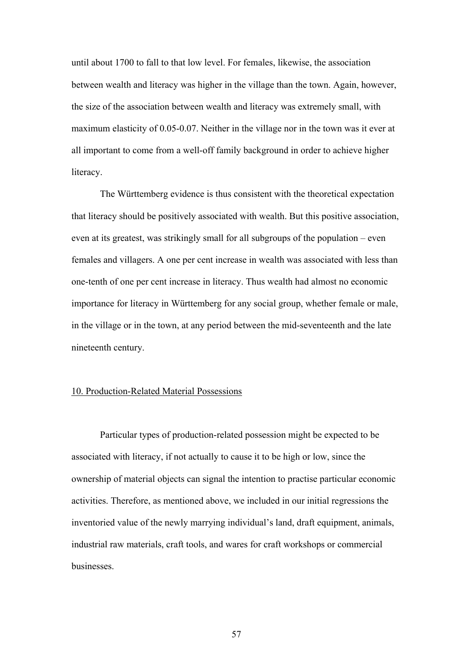until about 1700 to fall to that low level. For females, likewise, the association between wealth and literacy was higher in the village than the town. Again, however, the size of the association between wealth and literacy was extremely small, with maximum elasticity of 0.05-0.07. Neither in the village nor in the town was it ever at all important to come from a well-off family background in order to achieve higher literacy.

The Württemberg evidence is thus consistent with the theoretical expectation that literacy should be positively associated with wealth. But this positive association, even at its greatest, was strikingly small for all subgroups of the population – even females and villagers. A one per cent increase in wealth was associated with less than one-tenth of one per cent increase in literacy. Thus wealth had almost no economic importance for literacy in Württemberg for any social group, whether female or male, in the village or in the town, at any period between the mid-seventeenth and the late nineteenth century.

# 10. Production-Related Material Possessions

Particular types of production-related possession might be expected to be associated with literacy, if not actually to cause it to be high or low, since the ownership of material objects can signal the intention to practise particular economic activities. Therefore, as mentioned above, we included in our initial regressions the inventoried value of the newly marrying individual's land, draft equipment, animals, industrial raw materials, craft tools, and wares for craft workshops or commercial businesses.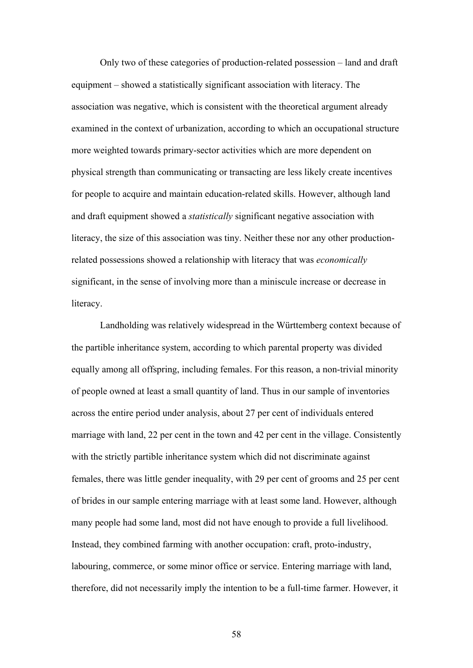Only two of these categories of production-related possession – land and draft equipment – showed a statistically significant association with literacy. The association was negative, which is consistent with the theoretical argument already examined in the context of urbanization, according to which an occupational structure more weighted towards primary-sector activities which are more dependent on physical strength than communicating or transacting are less likely create incentives for people to acquire and maintain education-related skills. However, although land and draft equipment showed a *statistically* significant negative association with literacy, the size of this association was tiny. Neither these nor any other productionrelated possessions showed a relationship with literacy that was *economically* significant, in the sense of involving more than a miniscule increase or decrease in literacy.

Landholding was relatively widespread in the Württemberg context because of the partible inheritance system, according to which parental property was divided equally among all offspring, including females. For this reason, a non-trivial minority of people owned at least a small quantity of land. Thus in our sample of inventories across the entire period under analysis, about 27 per cent of individuals entered marriage with land, 22 per cent in the town and 42 per cent in the village. Consistently with the strictly partible inheritance system which did not discriminate against females, there was little gender inequality, with 29 per cent of grooms and 25 per cent of brides in our sample entering marriage with at least some land. However, although many people had some land, most did not have enough to provide a full livelihood. Instead, they combined farming with another occupation: craft, proto-industry, labouring, commerce, or some minor office or service. Entering marriage with land, therefore, did not necessarily imply the intention to be a full-time farmer. However, it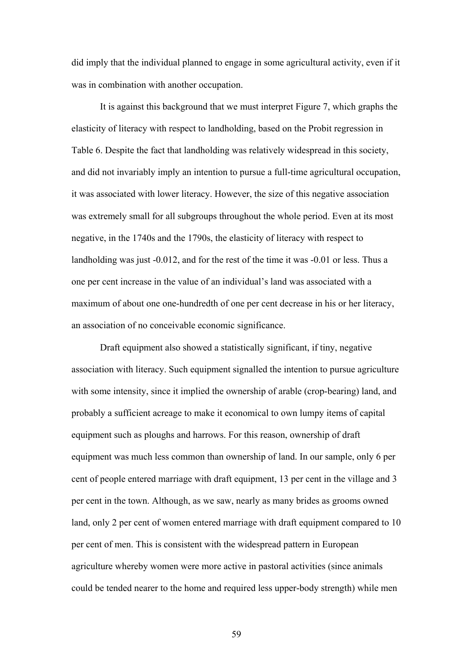did imply that the individual planned to engage in some agricultural activity, even if it was in combination with another occupation.

It is against this background that we must interpret Figure 7, which graphs the elasticity of literacy with respect to landholding, based on the Probit regression in Table 6. Despite the fact that landholding was relatively widespread in this society, and did not invariably imply an intention to pursue a full-time agricultural occupation, it was associated with lower literacy. However, the size of this negative association was extremely small for all subgroups throughout the whole period. Even at its most negative, in the 1740s and the 1790s, the elasticity of literacy with respect to landholding was just -0.012, and for the rest of the time it was -0.01 or less. Thus a one per cent increase in the value of an individual's land was associated with a maximum of about one one-hundredth of one per cent decrease in his or her literacy, an association of no conceivable economic significance.

Draft equipment also showed a statistically significant, if tiny, negative association with literacy. Such equipment signalled the intention to pursue agriculture with some intensity, since it implied the ownership of arable (crop-bearing) land, and probably a sufficient acreage to make it economical to own lumpy items of capital equipment such as ploughs and harrows. For this reason, ownership of draft equipment was much less common than ownership of land. In our sample, only 6 per cent of people entered marriage with draft equipment, 13 per cent in the village and 3 per cent in the town. Although, as we saw, nearly as many brides as grooms owned land, only 2 per cent of women entered marriage with draft equipment compared to 10 per cent of men. This is consistent with the widespread pattern in European agriculture whereby women were more active in pastoral activities (since animals could be tended nearer to the home and required less upper-body strength) while men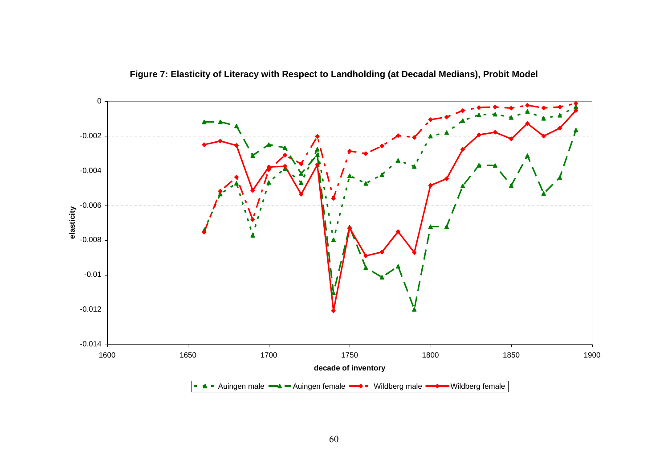

**Figure 7: Elasticity of Literacy with Respect to Landholding (at Decadal Medians), Probit Model**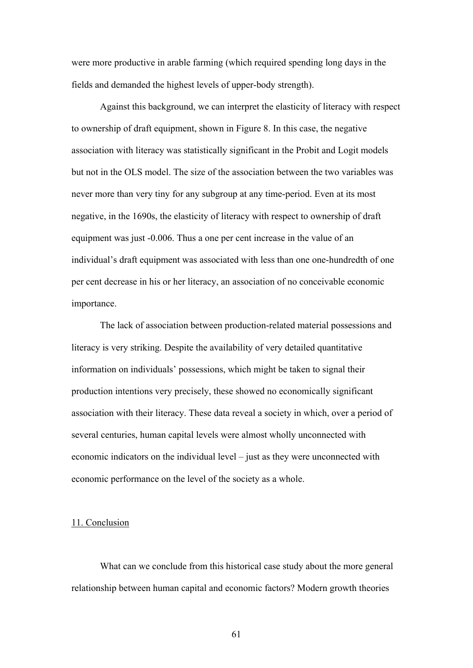were more productive in arable farming (which required spending long days in the fields and demanded the highest levels of upper-body strength).

Against this background, we can interpret the elasticity of literacy with respect to ownership of draft equipment, shown in Figure 8. In this case, the negative association with literacy was statistically significant in the Probit and Logit models but not in the OLS model. The size of the association between the two variables was never more than very tiny for any subgroup at any time-period. Even at its most negative, in the 1690s, the elasticity of literacy with respect to ownership of draft equipment was just -0.006. Thus a one per cent increase in the value of an individual's draft equipment was associated with less than one one-hundredth of one per cent decrease in his or her literacy, an association of no conceivable economic importance.

The lack of association between production-related material possessions and literacy is very striking. Despite the availability of very detailed quantitative information on individuals' possessions, which might be taken to signal their production intentions very precisely, these showed no economically significant association with their literacy. These data reveal a society in which, over a period of several centuries, human capital levels were almost wholly unconnected with economic indicators on the individual level – just as they were unconnected with economic performance on the level of the society as a whole.

### 11. Conclusion

What can we conclude from this historical case study about the more general relationship between human capital and economic factors? Modern growth theories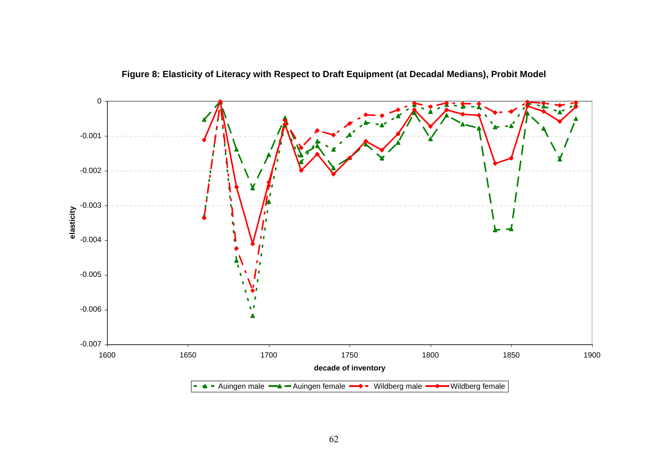

**Figure 8: Elasticity of Literacy with Respect to Draft Equipment (at Decadal Medians), Probit Model**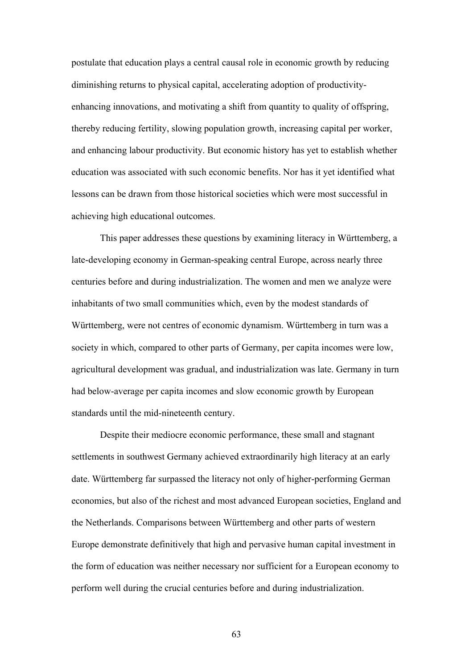postulate that education plays a central causal role in economic growth by reducing diminishing returns to physical capital, accelerating adoption of productivityenhancing innovations, and motivating a shift from quantity to quality of offspring, thereby reducing fertility, slowing population growth, increasing capital per worker, and enhancing labour productivity. But economic history has yet to establish whether education was associated with such economic benefits. Nor has it yet identified what lessons can be drawn from those historical societies which were most successful in achieving high educational outcomes.

This paper addresses these questions by examining literacy in Württemberg, a late-developing economy in German-speaking central Europe, across nearly three centuries before and during industrialization. The women and men we analyze were inhabitants of two small communities which, even by the modest standards of Württemberg, were not centres of economic dynamism. Württemberg in turn was a society in which, compared to other parts of Germany, per capita incomes were low, agricultural development was gradual, and industrialization was late. Germany in turn had below-average per capita incomes and slow economic growth by European standards until the mid-nineteenth century.

Despite their mediocre economic performance, these small and stagnant settlements in southwest Germany achieved extraordinarily high literacy at an early date. Württemberg far surpassed the literacy not only of higher-performing German economies, but also of the richest and most advanced European societies, England and the Netherlands. Comparisons between Württemberg and other parts of western Europe demonstrate definitively that high and pervasive human capital investment in the form of education was neither necessary nor sufficient for a European economy to perform well during the crucial centuries before and during industrialization.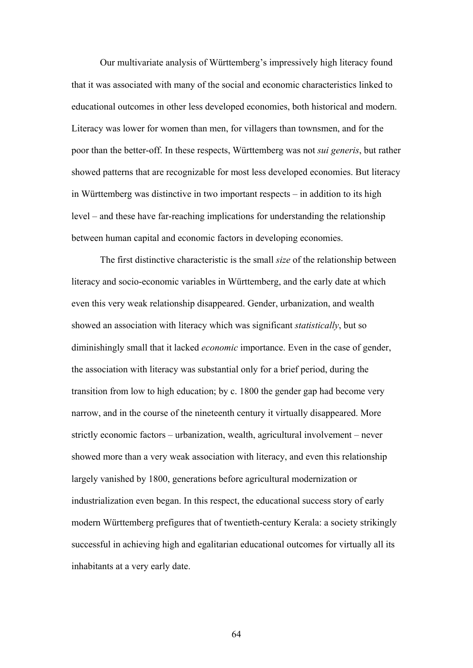Our multivariate analysis of Württemberg's impressively high literacy found that it was associated with many of the social and economic characteristics linked to educational outcomes in other less developed economies, both historical and modern. Literacy was lower for women than men, for villagers than townsmen, and for the poor than the better-off. In these respects, Württemberg was not *sui generis*, but rather showed patterns that are recognizable for most less developed economies. But literacy in Württemberg was distinctive in two important respects – in addition to its high level – and these have far-reaching implications for understanding the relationship between human capital and economic factors in developing economies.

The first distinctive characteristic is the small *size* of the relationship between literacy and socio-economic variables in Württemberg, and the early date at which even this very weak relationship disappeared. Gender, urbanization, and wealth showed an association with literacy which was significant *statistically*, but so diminishingly small that it lacked *economic* importance. Even in the case of gender, the association with literacy was substantial only for a brief period, during the transition from low to high education; by c. 1800 the gender gap had become very narrow, and in the course of the nineteenth century it virtually disappeared. More strictly economic factors – urbanization, wealth, agricultural involvement – never showed more than a very weak association with literacy, and even this relationship largely vanished by 1800, generations before agricultural modernization or industrialization even began. In this respect, the educational success story of early modern Württemberg prefigures that of twentieth-century Kerala: a society strikingly successful in achieving high and egalitarian educational outcomes for virtually all its inhabitants at a very early date.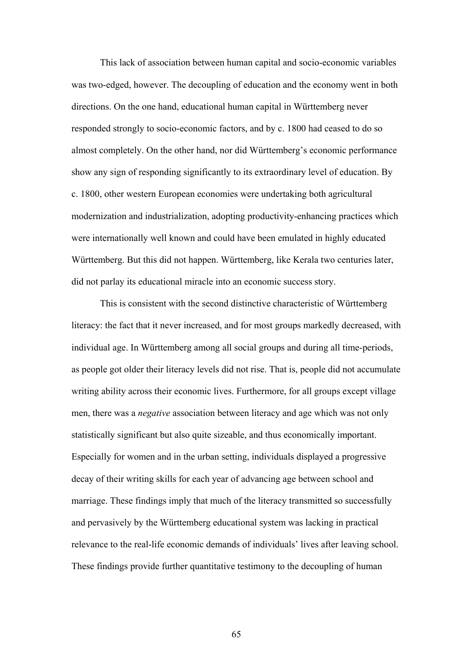This lack of association between human capital and socio-economic variables was two-edged, however. The decoupling of education and the economy went in both directions. On the one hand, educational human capital in Württemberg never responded strongly to socio-economic factors, and by c. 1800 had ceased to do so almost completely. On the other hand, nor did Württemberg's economic performance show any sign of responding significantly to its extraordinary level of education. By c. 1800, other western European economies were undertaking both agricultural modernization and industrialization, adopting productivity-enhancing practices which were internationally well known and could have been emulated in highly educated Württemberg. But this did not happen. Württemberg, like Kerala two centuries later, did not parlay its educational miracle into an economic success story.

This is consistent with the second distinctive characteristic of Württemberg literacy: the fact that it never increased, and for most groups markedly decreased, with individual age. In Württemberg among all social groups and during all time-periods, as people got older their literacy levels did not rise. That is, people did not accumulate writing ability across their economic lives. Furthermore, for all groups except village men, there was a *negative* association between literacy and age which was not only statistically significant but also quite sizeable, and thus economically important. Especially for women and in the urban setting, individuals displayed a progressive decay of their writing skills for each year of advancing age between school and marriage. These findings imply that much of the literacy transmitted so successfully and pervasively by the Württemberg educational system was lacking in practical relevance to the real-life economic demands of individuals' lives after leaving school. These findings provide further quantitative testimony to the decoupling of human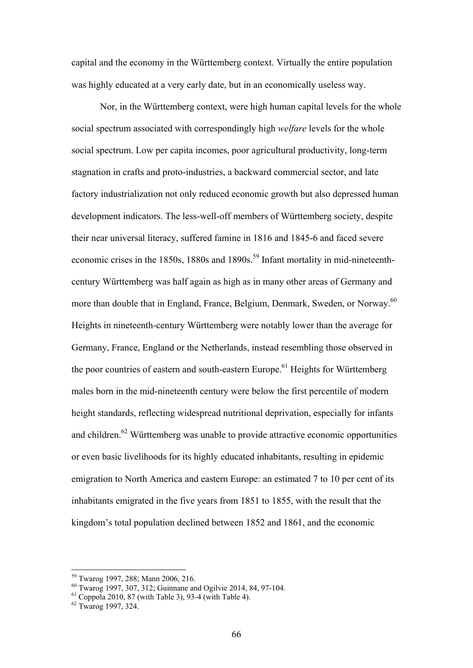capital and the economy in the Württemberg context. Virtually the entire population was highly educated at a very early date, but in an economically useless way.

Nor, in the Württemberg context, were high human capital levels for the whole social spectrum associated with correspondingly high *welfare* levels for the whole social spectrum. Low per capita incomes, poor agricultural productivity, long-term stagnation in crafts and proto-industries, a backward commercial sector, and late factory industrialization not only reduced economic growth but also depressed human development indicators. The less-well-off members of Württemberg society, despite their near universal literacy, suffered famine in 1816 and 1845-6 and faced severe economic crises in the 1850s, 1880s and 1890s.<sup>59</sup> Infant mortality in mid-nineteenthcentury Württemberg was half again as high as in many other areas of Germany and more than double that in England, France, Belgium, Denmark, Sweden, or Norway.<sup>60</sup> Heights in nineteenth-century Württemberg were notably lower than the average for Germany, France, England or the Netherlands, instead resembling those observed in the poor countries of eastern and south-eastern Europe.<sup>61</sup> Heights for Württemberg males born in the mid-nineteenth century were below the first percentile of modern height standards, reflecting widespread nutritional deprivation, especially for infants and children.<sup>62</sup> Württemberg was unable to provide attractive economic opportunities or even basic livelihoods for its highly educated inhabitants, resulting in epidemic emigration to North America and eastern Europe: an estimated 7 to 10 per cent of its inhabitants emigrated in the five years from 1851 to 1855, with the result that the kingdom's total population declined between 1852 and 1861, and the economic

<sup>59</sup> Twarog 1997, 288; Mann 2006, 216.

<sup>60</sup> Twarog 1997, 307, 312; Guinnane and Ogilvie 2014, 84, 97-104.

 $61$  Coppola 2010, 87 (with Table 3), 93-4 (with Table 4).

 $62$  Twarog 1997, 324.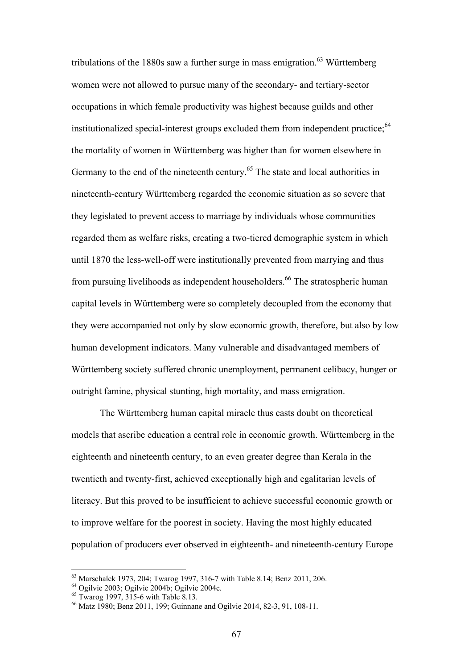tribulations of the 1880s saw a further surge in mass emigration.<sup>63</sup> Württemberg women were not allowed to pursue many of the secondary- and tertiary-sector occupations in which female productivity was highest because guilds and other institutionalized special-interest groups excluded them from independent practice;<sup>64</sup> the mortality of women in Württemberg was higher than for women elsewhere in Germany to the end of the nineteenth century.<sup>65</sup> The state and local authorities in nineteenth-century Württemberg regarded the economic situation as so severe that they legislated to prevent access to marriage by individuals whose communities regarded them as welfare risks, creating a two-tiered demographic system in which until 1870 the less-well-off were institutionally prevented from marrying and thus from pursuing livelihoods as independent householders.<sup>66</sup> The stratospheric human capital levels in Württemberg were so completely decoupled from the economy that they were accompanied not only by slow economic growth, therefore, but also by low human development indicators. Many vulnerable and disadvantaged members of Württemberg society suffered chronic unemployment, permanent celibacy, hunger or outright famine, physical stunting, high mortality, and mass emigration.

The Württemberg human capital miracle thus casts doubt on theoretical models that ascribe education a central role in economic growth. Württemberg in the eighteenth and nineteenth century, to an even greater degree than Kerala in the twentieth and twenty-first, achieved exceptionally high and egalitarian levels of literacy. But this proved to be insufficient to achieve successful economic growth or to improve welfare for the poorest in society. Having the most highly educated population of producers ever observed in eighteenth- and nineteenth-century Europe

<sup>63</sup> Marschalck 1973, 204; Twarog 1997, 316-7 with Table 8.14; Benz 2011, 206.

 $64$  Ogilvie 2003; Ogilvie 2004b; Ogilvie 2004c.

 $65$  Twarog 1997, 315-6 with Table 8.13.

<sup>66</sup> Matz 1980; Benz 2011, 199; Guinnane and Ogilvie 2014, 82-3, 91, 108-11.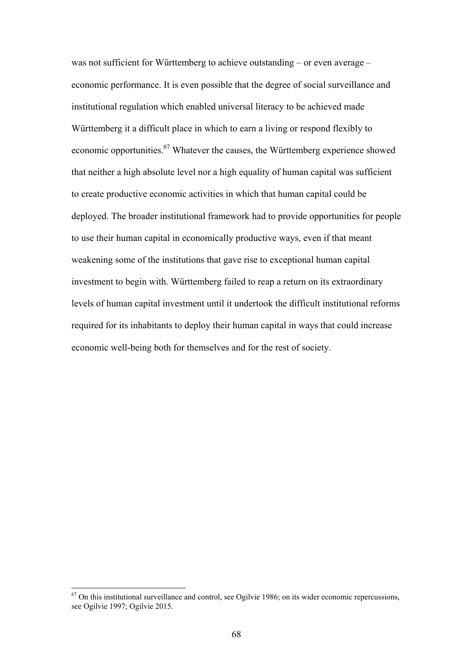was not sufficient for Württemberg to achieve outstanding – or even average – economic performance. It is even possible that the degree of social surveillance and institutional regulation which enabled universal literacy to be achieved made Württemberg it a difficult place in which to earn a living or respond flexibly to economic opportunities.<sup>67</sup> Whatever the causes, the Württemberg experience showed that neither a high absolute level nor a high equality of human capital was sufficient to create productive economic activities in which that human capital could be deployed. The broader institutional framework had to provide opportunities for people to use their human capital in economically productive ways, even if that meant weakening some of the institutions that gave rise to exceptional human capital investment to begin with. Württemberg failed to reap a return on its extraordinary levels of human capital investment until it undertook the difficult institutional reforms required for its inhabitants to deploy their human capital in ways that could increase economic well-being both for themselves and for the rest of society.

<u>.</u>

 $67$  On this institutional surveillance and control, see Ogilvie 1986; on its wider economic repercussions, see Ogilvie 1997; Ogilvie 2015.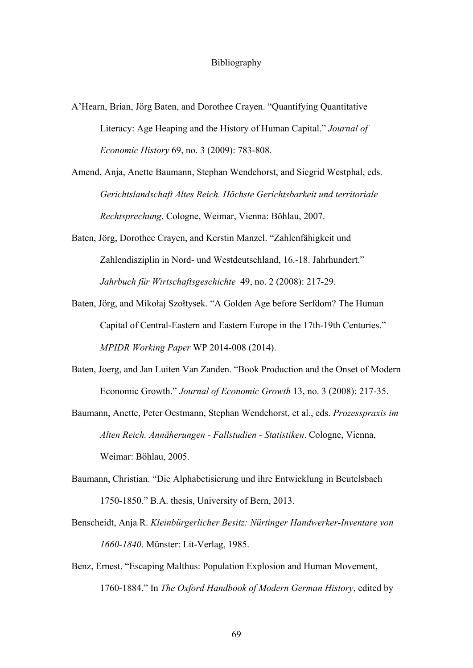### **Bibliography**

- A'Hearn, Brian, Jörg Baten, and Dorothee Crayen. "Quantifying Quantitative Literacy: Age Heaping and the History of Human Capital." *Journal of Economic History* 69, no. 3 (2009): 783-808.
- Amend, Anja, Anette Baumann, Stephan Wendehorst, and Siegrid Westphal, eds. *Gerichtslandschaft Altes Reich. Höchste Gerichtsbarkeit und territoriale Rechtsprechung*. Cologne, Weimar, Vienna: Böhlau, 2007.
- Baten, Jörg, Dorothee Crayen, and Kerstin Manzel. "Zahlenfähigkeit und Zahlendisziplin in Nord- und Westdeutschland, 16.-18. Jahrhundert." *Jahrbuch für Wirtschaftsgeschichte* 49, no. 2 (2008): 217-29.
- Baten, Jörg, and Mikołaj Szołtysek. "A Golden Age before Serfdom? The Human Capital of Central-Eastern and Eastern Europe in the 17th-19th Centuries." *MPIDR Working Paper* WP 2014-008 (2014).
- Baten, Joerg, and Jan Luiten Van Zanden. "Book Production and the Onset of Modern Economic Growth." *Journal of Economic Growth* 13, no. 3 (2008): 217-35.
- Baumann, Anette, Peter Oestmann, Stephan Wendehorst, et al., eds. *Prozesspraxis im Alten Reich. Annäherungen - Fallstudien - Statistiken*. Cologne, Vienna, Weimar: Böhlau, 2005.
- Baumann, Christian. "Die Alphabetisierung und ihre Entwicklung in Beutelsbach 1750-1850." B.A. thesis, University of Bern, 2013.
- Benscheidt, Anja R. *Kleinbürgerlicher Besitz: Nürtinger Handwerker-Inventare von 1660-1840*. Münster: Lit-Verlag, 1985.
- Benz, Ernest. "Escaping Malthus: Population Explosion and Human Movement, 1760-1884." In *The Oxford Handbook of Modern German History*, edited by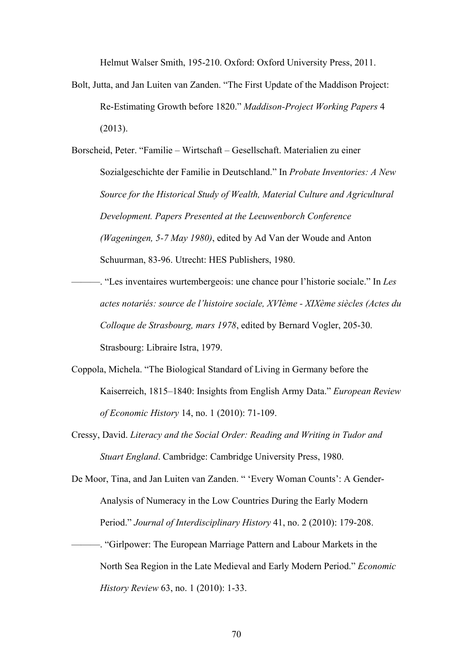Helmut Walser Smith, 195-210. Oxford: Oxford University Press, 2011.

Bolt, Jutta, and Jan Luiten van Zanden. "The First Update of the Maddison Project: Re-Estimating Growth before 1820." *Maddison-Project Working Papers* 4 (2013).

Borscheid, Peter. "Familie – Wirtschaft – Gesellschaft. Materialien zu einer Sozialgeschichte der Familie in Deutschland." In *Probate Inventories: A New Source for the Historical Study of Wealth, Material Culture and Agricultural Development. Papers Presented at the Leeuwenborch Conference (Wageningen, 5-7 May 1980)*, edited by Ad Van der Woude and Anton Schuurman, 83-96. Utrecht: HES Publishers, 1980.

———. "Les inventaires wurtembergeois: une chance pour l'historie sociale." In *Les actes notariés: source de l'histoire sociale, XVIème - XIXème siècles (Actes du Colloque de Strasbourg, mars 1978*, edited by Bernard Vogler, 205-30. Strasbourg: Libraire Istra, 1979.

- Coppola, Michela. "The Biological Standard of Living in Germany before the Kaiserreich, 1815–1840: Insights from English Army Data." *European Review of Economic History* 14, no. 1 (2010): 71-109.
- Cressy, David. *Literacy and the Social Order: Reading and Writing in Tudor and Stuart England*. Cambridge: Cambridge University Press, 1980.

De Moor, Tina, and Jan Luiten van Zanden. " 'Every Woman Counts': A Gender-Analysis of Numeracy in the Low Countries During the Early Modern Period." *Journal of Interdisciplinary History* 41, no. 2 (2010): 179-208.

———. "Girlpower: The European Marriage Pattern and Labour Markets in the North Sea Region in the Late Medieval and Early Modern Period." *Economic History Review* 63, no. 1 (2010): 1-33.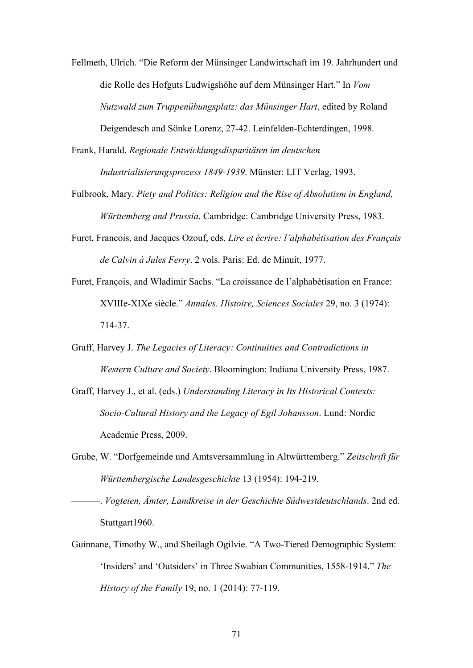- Fellmeth, Ulrich. "Die Reform der Münsinger Landwirtschaft im 19. Jahrhundert und die Rolle des Hofguts Ludwigshöhe auf dem Münsinger Hart." In *Vom Nutzwald zum Truppenübungsplatz: das Münsinger Hart*, edited by Roland Deigendesch and Sönke Lorenz, 27-42. Leinfelden-Echterdingen, 1998.
- Frank, Harald. *Regionale Entwicklungsdisparitäten im deutschen Industrialisierungsprozess 1849-1939*. Münster: LIT Verlag, 1993.
- Fulbrook, Mary. *Piety and Politics: Religion and the Rise of Absolutism in England, Württemberg and Prussia*. Cambridge: Cambridge University Press, 1983.
- Furet, Francois, and Jacques Ozouf, eds. *Lire et écrire: l'alphabétisation des Français de Calvin à Jules Ferry*. 2 vols. Paris: Ed. de Minuit, 1977.
- Furet, François, and Wladimir Sachs. "La croissance de l'alphabétisation en France: XVIIIe-XIXe siècle." *Annales. Histoire, Sciences Sociales* 29, no. 3 (1974): 714-37.
- Graff, Harvey J. *The Legacies of Literacy: Continuities and Contradictions in Western Culture and Society*. Bloomington: Indiana University Press, 1987.
- Graff, Harvey J., et al. (eds.) *Understanding Literacy in Its Historical Contexts: Socio-Cultural History and the Legacy of Egil Johansson*. Lund: Nordic Academic Press, 2009.
- Grube, W. "Dorfgemeinde und Amtsversammlung in Altwürttemberg." *Zeitschrift für Württembergische Landesgeschichte* 13 (1954): 194-219.
	- ———. *Vogteien, Ämter, Landkreise in der Geschichte Südwestdeutschlands*. 2nd ed. Stuttgart1960.
- Guinnane, Timothy W., and Sheilagh Ogilvie. "A Two-Tiered Demographic System: 'Insiders' and 'Outsiders' in Three Swabian Communities, 1558-1914." *The History of the Family* 19, no. 1 (2014): 77-119.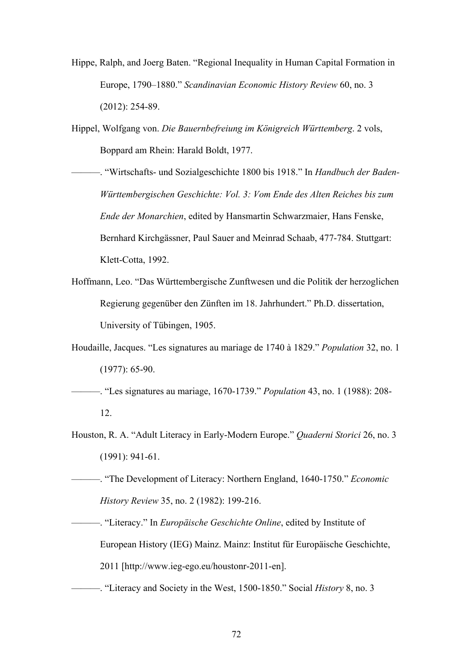Hippe, Ralph, and Joerg Baten. "Regional Inequality in Human Capital Formation in Europe, 1790–1880." *Scandinavian Economic History Review* 60, no. 3 (2012): 254-89.

Hippel, Wolfgang von. *Die Bauernbefreiung im Königreich Württemberg*. 2 vols, Boppard am Rhein: Harald Boldt, 1977.

———. "Wirtschafts- und Sozialgeschichte 1800 bis 1918." In *Handbuch der Baden-Württembergischen Geschichte: Vol. 3: Vom Ende des Alten Reiches bis zum Ende der Monarchien*, edited by Hansmartin Schwarzmaier, Hans Fenske, Bernhard Kirchgässner, Paul Sauer and Meinrad Schaab, 477-784. Stuttgart: Klett-Cotta, 1992.

Hoffmann, Leo. "Das Württembergische Zunftwesen und die Politik der herzoglichen Regierung gegenüber den Zünften im 18. Jahrhundert." Ph.D. dissertation, University of Tübingen, 1905.

Houdaille, Jacques. "Les signatures au mariage de 1740 à 1829." *Population* 32, no. 1 (1977): 65-90.

———. "Les signatures au mariage, 1670-1739." *Population* 43, no. 1 (1988): 208- 12.

Houston, R. A. "Adult Literacy in Early-Modern Europe." *Quaderni Storici* 26, no. 3 (1991): 941-61.

———. "The Development of Literacy: Northern England, 1640-1750." *Economic History Review* 35, no. 2 (1982): 199-216.

———. "Literacy." In *Europäische Geschichte Online*, edited by Institute of European History (IEG) Mainz. Mainz: Institut für Europäische Geschichte, 2011 [http://www.ieg-ego.eu/houstonr-2011-en].

———. "Literacy and Society in the West, 1500-1850." Social *History* 8, no. 3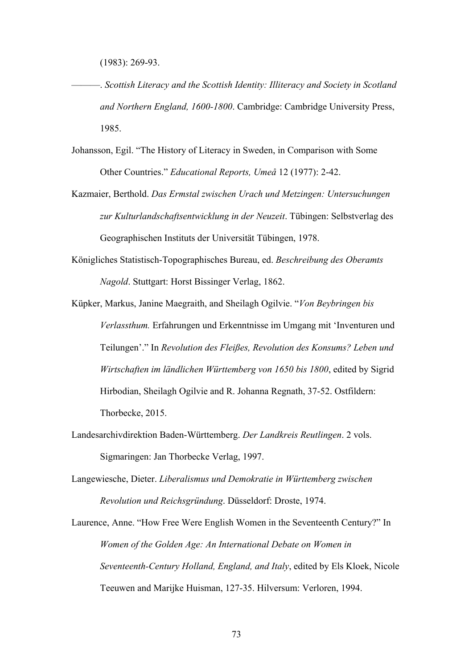(1983): 269-93.

———. *Scottish Literacy and the Scottish Identity: Illiteracy and Society in Scotland and Northern England, 1600-1800*. Cambridge: Cambridge University Press, 1985.

- Johansson, Egil. "The History of Literacy in Sweden, in Comparison with Some Other Countries." *Educational Reports, Umeå* 12 (1977): 2-42.
- Kazmaier, Berthold. *Das Ermstal zwischen Urach und Metzingen: Untersuchungen zur Kulturlandschaftsentwicklung in der Neuzeit*. Tübingen: Selbstverlag des Geographischen Instituts der Universität Tübingen, 1978.
- Königliches Statistisch-Topographisches Bureau, ed. *Beschreibung des Oberamts Nagold*. Stuttgart: Horst Bissinger Verlag, 1862.
- Küpker, Markus, Janine Maegraith, and Sheilagh Ogilvie. "*Von Beybringen bis Verlassthum.* Erfahrungen und Erkenntnisse im Umgang mit 'Inventuren und Teilungen'." In *Revolution des Fleißes, Revolution des Konsums? Leben und Wirtschaften im ländlichen Württemberg von 1650 bis 1800*, edited by Sigrid Hirbodian, Sheilagh Ogilvie and R. Johanna Regnath, 37-52. Ostfildern: Thorbecke, 2015.
- Landesarchivdirektion Baden-Württemberg. *Der Landkreis Reutlingen*. 2 vols. Sigmaringen: Jan Thorbecke Verlag, 1997.
- Langewiesche, Dieter. *Liberalismus und Demokratie in Württemberg zwischen Revolution und Reichsgründung*. Düsseldorf: Droste, 1974.

Laurence, Anne. "How Free Were English Women in the Seventeenth Century?" In *Women of the Golden Age: An International Debate on Women in Seventeenth-Century Holland, England, and Italy*, edited by Els Kloek, Nicole Teeuwen and Marijke Huisman, 127-35. Hilversum: Verloren, 1994.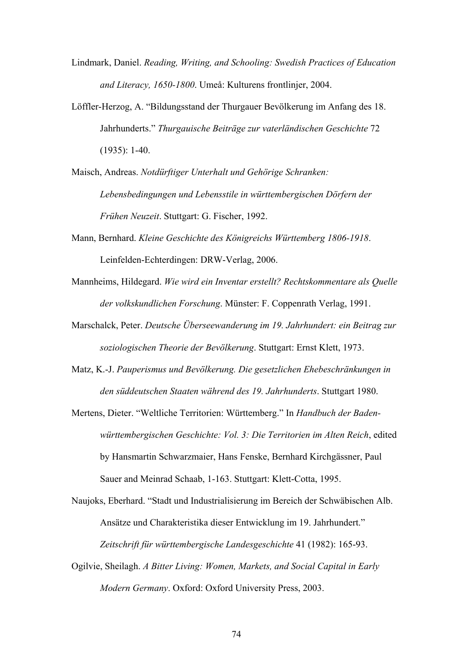- Lindmark, Daniel. *Reading, Writing, and Schooling: Swedish Practices of Education and Literacy, 1650-1800*. Umeå: Kulturens frontlinjer, 2004.
- Löffler-Herzog, A. "Bildungsstand der Thurgauer Bevölkerung im Anfang des 18. Jahrhunderts." *Thurgauische Beiträge zur vaterländischen Geschichte* 72 (1935): 1-40.
- Maisch, Andreas. *Notdürftiger Unterhalt und Gehörige Schranken: Lebensbedingungen und Lebensstile in württembergischen Dörfern der Frühen Neuzeit*. Stuttgart: G. Fischer, 1992.
- Mann, Bernhard. *Kleine Geschichte des Königreichs Württemberg 1806-1918*. Leinfelden-Echterdingen: DRW-Verlag, 2006.
- Mannheims, Hildegard. *Wie wird ein Inventar erstellt? Rechtskommentare als Quelle der volkskundlichen Forschung*. Münster: F. Coppenrath Verlag, 1991.
- Marschalck, Peter. *Deutsche Überseewanderung im 19. Jahrhundert: ein Beitrag zur soziologischen Theorie der Bevölkerung*. Stuttgart: Ernst Klett, 1973.
- Matz, K.-J. *Pauperismus und Bevölkerung. Die gesetzlichen Ehebeschränkungen in den süddeutschen Staaten während des 19. Jahrhunderts*. Stuttgart 1980.
- Mertens, Dieter. "Weltliche Territorien: Württemberg." In *Handbuch der Badenwürttembergischen Geschichte: Vol. 3: Die Territorien im Alten Reich*, edited by Hansmartin Schwarzmaier, Hans Fenske, Bernhard Kirchgässner, Paul Sauer and Meinrad Schaab, 1-163. Stuttgart: Klett-Cotta, 1995.

Naujoks, Eberhard. "Stadt und Industrialisierung im Bereich der Schwäbischen Alb. Ansätze und Charakteristika dieser Entwicklung im 19. Jahrhundert." *Zeitschrift für württembergische Landesgeschichte* 41 (1982): 165-93.

Ogilvie, Sheilagh. *A Bitter Living: Women, Markets, and Social Capital in Early Modern Germany*. Oxford: Oxford University Press, 2003.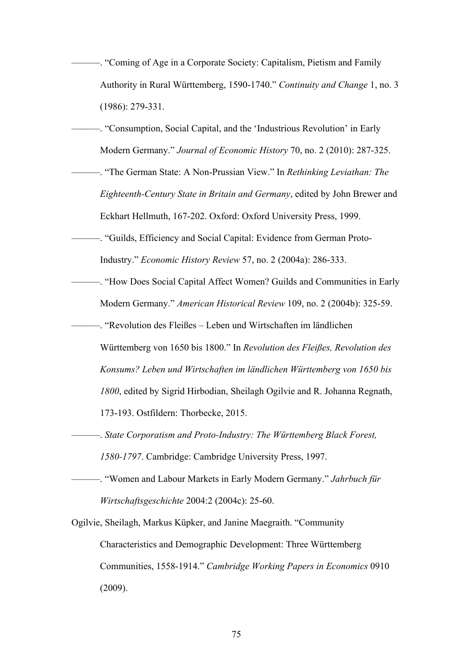- ———. "Coming of Age in a Corporate Society: Capitalism, Pietism and Family Authority in Rural Württemberg, 1590-1740." *Continuity and Change* 1, no. 3 (1986): 279-331.
- ———. "Consumption, Social Capital, and the 'Industrious Revolution' in Early Modern Germany." *Journal of Economic History* 70, no. 2 (2010): 287-325.
- ———. "The German State: A Non-Prussian View." In *Rethinking Leviathan: The Eighteenth-Century State in Britain and Germany*, edited by John Brewer and Eckhart Hellmuth, 167-202. Oxford: Oxford University Press, 1999.
- ———. "Guilds, Efficiency and Social Capital: Evidence from German Proto-Industry." *Economic History Review* 57, no. 2 (2004a): 286-333.
- ———. "How Does Social Capital Affect Women? Guilds and Communities in Early Modern Germany." *American Historical Review* 109, no. 2 (2004b): 325-59.
	- ———. "Revolution des Fleißes Leben und Wirtschaften im ländlichen Württemberg von 1650 bis 1800." In *Revolution des Fleißes, Revolution des Konsums? Leben und Wirtschaften im ländlichen Württemberg von 1650 bis 1800*, edited by Sigrid Hirbodian, Sheilagh Ogilvie and R. Johanna Regnath, 173-193. Ostfildern: Thorbecke, 2015.
- ———. *State Corporatism and Proto-Industry: The Württemberg Black Forest, 1580-1797*. Cambridge: Cambridge University Press, 1997.
- ———. "Women and Labour Markets in Early Modern Germany." *Jahrbuch für Wirtschaftsgeschichte* 2004:2 (2004c): 25-60.
- Ogilvie, Sheilagh, Markus Küpker, and Janine Maegraith. "Community Characteristics and Demographic Development: Three Württemberg Communities, 1558-1914." *Cambridge Working Papers in Economics* 0910 (2009).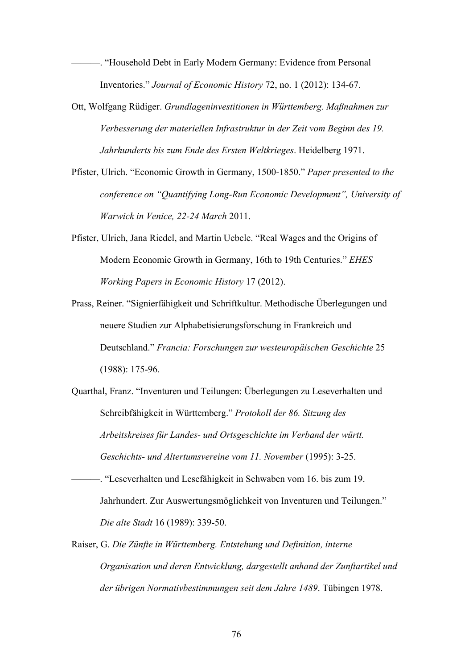———. "Household Debt in Early Modern Germany: Evidence from Personal Inventories." *Journal of Economic History* 72, no. 1 (2012): 134-67.

- Ott, Wolfgang Rüdiger. *Grundlageninvestitionen in Württemberg. Maßnahmen zur Verbesserung der materiellen Infrastruktur in der Zeit vom Beginn des 19. Jahrhunderts bis zum Ende des Ersten Weltkrieges*. Heidelberg 1971.
- Pfister, Ulrich. "Economic Growth in Germany, 1500-1850." *Paper presented to the conference on "Quantifying Long-Run Economic Development", University of Warwick in Venice, 22-24 March* 2011.
- Pfister, Ulrich, Jana Riedel, and Martin Uebele. "Real Wages and the Origins of Modern Economic Growth in Germany, 16th to 19th Centuries." *EHES Working Papers in Economic History* 17 (2012).
- Prass, Reiner. "Signierfähigkeit und Schriftkultur. Methodische Überlegungen und neuere Studien zur Alphabetisierungsforschung in Frankreich und Deutschland." *Francia: Forschungen zur westeuropäischen Geschichte* 25 (1988): 175-96.
- Quarthal, Franz. "Inventuren und Teilungen: Überlegungen zu Leseverhalten und Schreibfähigkeit in Württemberg." *Protokoll der 86. Sitzung des Arbeitskreises für Landes- und Ortsgeschichte im Verband der württ. Geschichts- und Altertumsvereine vom 11. November* (1995): 3-25.
- ———. "Leseverhalten und Lesefähigkeit in Schwaben vom 16. bis zum 19. Jahrhundert. Zur Auswertungsmöglichkeit von Inventuren und Teilungen." *Die alte Stadt* 16 (1989): 339-50.
- Raiser, G. *Die Zünfte in Württemberg. Entstehung und Definition, interne Organisation und deren Entwicklung, dargestellt anhand der Zunftartikel und der übrigen Normativbestimmungen seit dem Jahre 1489*. Tübingen 1978.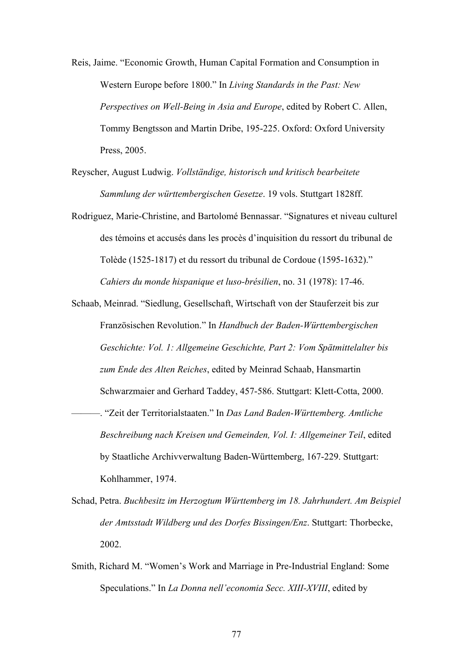Reis, Jaime. "Economic Growth, Human Capital Formation and Consumption in Western Europe before 1800." In *Living Standards in the Past: New Perspectives on Well-Being in Asia and Europe*, edited by Robert C. Allen, Tommy Bengtsson and Martin Dribe, 195-225. Oxford: Oxford University Press, 2005.

Reyscher, August Ludwig. *Vollständige, historisch und kritisch bearbeitete Sammlung der württembergischen Gesetze*. 19 vols. Stuttgart 1828ff.

Rodriguez, Marie-Christine, and Bartolomé Bennassar. "Signatures et niveau culturel des témoins et accusés dans les procès d'inquisition du ressort du tribunal de Tolède (1525-1817) et du ressort du tribunal de Cordoue (1595-1632)." *Cahiers du monde hispanique et luso-brésilien*, no. 31 (1978): 17-46.

Schaab, Meinrad. "Siedlung, Gesellschaft, Wirtschaft von der Stauferzeit bis zur Französischen Revolution." In *Handbuch der Baden-Württembergischen Geschichte: Vol. 1: Allgemeine Geschichte, Part 2: Vom Spätmittelalter bis zum Ende des Alten Reiches*, edited by Meinrad Schaab, Hansmartin Schwarzmaier and Gerhard Taddey, 457-586. Stuttgart: Klett-Cotta, 2000. ———. "Zeit der Territorialstaaten." In *Das Land Baden-Württemberg. Amtliche Beschreibung nach Kreisen und Gemeinden, Vol. I: Allgemeiner Teil*, edited by Staatliche Archivverwaltung Baden-Württemberg, 167-229. Stuttgart: Kohlhammer, 1974.

Schad, Petra. *Buchbesitz im Herzogtum Württemberg im 18. Jahrhundert. Am Beispiel der Amtsstadt Wildberg und des Dorfes Bissingen/Enz*. Stuttgart: Thorbecke, 2002.

Smith, Richard M. "Women's Work and Marriage in Pre-Industrial England: Some Speculations." In *La Donna nell'economia Secc. XIII-XVIII*, edited by